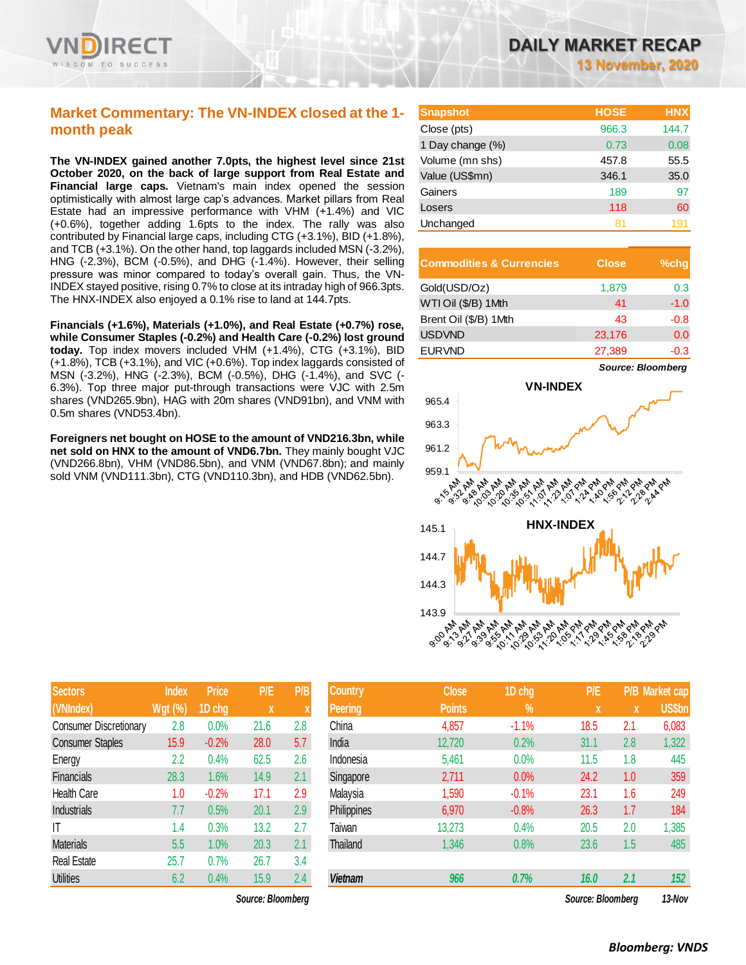

## **Market Commentary: The VN-INDEX closed at the 1 month peak**

**The VN-INDEX gained another 7.0pts, the highest level since 21st October 2020, on the back of large support from Real Estate and Financial large caps.** Vietnam's main index opened the session optimistically with almost large cap's advances. Market pillars from Real Estate had an impressive performance with VHM (+1.4%) and VIC (+0.6%), together adding 1.6pts to the index. The rally was also contributed by Financial large caps, including CTG (+3.1%), BID (+1.8%), and TCB (+3.1%). On the other hand, top laggards included MSN (-3.2%), HNG (-2.3%), BCM (-0.5%), and DHG (-1.4%). However, their selling pressure was minor compared to today's overall gain. Thus, the VN-INDEX stayed positive, rising 0.7% to close at its intraday high of 966.3pts. The HNX-INDEX also enjoyed a 0.1% rise to land at 144.7pts.

**Financials (+1.6%), Materials (+1.0%), and Real Estate (+0.7%) rose, while Consumer Staples (-0.2%) and Health Care (-0.2%) lost ground today.** Top index movers included VHM (+1.4%), CTG (+3.1%), BID (+1.8%), TCB (+3.1%), and VIC (+0.6%). Top index laggards consisted of MSN (-3.2%), HNG (-2.3%), BCM (-0.5%), DHG (-1.4%), and SVC (- 6.3%). Top three major put-through transactions were VJC with 2.5m shares (VND265.9bn), HAG with 20m shares (VND91bn), and VNM with 0.5m shares (VND53.4bn).

**Foreigners net bought on HOSE to the amount of VND216.3bn, while net sold on HNX to the amount of VND6.7bn.** They mainly bought VJC (VND266.8bn), VHM (VND86.5bn), and VNM (VND67.8bn); and mainly sold VNM (VND111.3bn), CTG (VND110.3bn), and HDB (VND62.5bn).

| <b>Snapshot</b>  | <b>HOSE</b> | <b>HNX</b> |
|------------------|-------------|------------|
| Close (pts)      | 966.3       | 144.7      |
| 1 Day change (%) | 0.73        | 0.08       |
| Volume (mn shs)  | 457.8       | 55.5       |
| Value (US\$mn)   | 346.1       | 35.0       |
| Gainers          | 189         | 97         |
| Losers           | 118         | 60         |
| Unchanged        | 81          |            |

| <b>Commodities &amp; Currencies</b> | <b>Close</b> | $%$ chq |
|-------------------------------------|--------------|---------|
| Gold(USD/Oz)                        | 1,879        | 0.3     |
| WTI Oil (\$/B) 1Mth                 | 41           | $-1.0$  |
| Brent Oil (\$/B) 1Mth               | 43           | $-0.8$  |
| <b>USDVND</b>                       | 23,176       | 0.0     |
| <b>EURVND</b>                       | 27,389       | $-0.3$  |



| <b>Sectors</b>                | <b>Index</b>   | <b>Price</b> | P/E  | P/B |
|-------------------------------|----------------|--------------|------|-----|
| (VNIndex)                     | <b>Wgt (%)</b> | 1D chg       | X    | X   |
| <b>Consumer Discretionary</b> | 2.8            | 0.0%         | 21.6 | 2.8 |
| <b>Consumer Staples</b>       | 15.9           | $-0.2%$      | 28.0 | 5.7 |
| Energy                        | 2.2            | 0.4%         | 62.5 | 2.6 |
| Financials                    | 28.3           | 1.6%         | 14.9 | 2.1 |
| Health Care                   | 1.0            | $-0.2%$      | 17.1 | 2.9 |
| Industrials                   | 7.7            | 0.5%         | 20.1 | 2.9 |
| ΙT                            | 1.4            | 0.3%         | 13.2 | 2.7 |
| <b>Materials</b>              | 5.5            | 1.0%         | 20.3 | 2.1 |
| <b>Real Estate</b>            | 25.7           | 0.7%         | 26.7 | 3.4 |
| <b>Utilities</b>              | 6.2            | 0.4%         | 15.9 | 2.4 |

| <b>Sectors</b>                | <b>Index</b> | <b>Price</b> | P/E               | P/B | <b>Country</b>  | <b>Close</b>  | 1D chg  | P/E               |              | P/B Market cap |
|-------------------------------|--------------|--------------|-------------------|-----|-----------------|---------------|---------|-------------------|--------------|----------------|
| (VNIndex)                     | $Wgt$ (%)    | 1D chg       | X                 |     | Peering         | <b>Points</b> | $\%$    | X                 | $\mathbf{X}$ | <b>US\$bn</b>  |
| <b>Consumer Discretionary</b> | 2.8          | 0.0%         | 21.6              | 2.8 | China           | 4,857         | $-1.1%$ | 18.5              | 2.1          | 6,083          |
| <b>Consumer Staples</b>       | 15.9         | $-0.2%$      | 28.0              | 5.7 | India           | 12,720        | 0.2%    | 31.1              | 2.8          | 1,322          |
| Energy                        | 2.2          | 0.4%         | 62.5              | 2.6 | Indonesia       | 5,461         | 0.0%    | 11.5              | 1.8          | 445            |
| Financials                    | 28.3         | 1.6%         | 14.9              | 2.1 | Singapore       | 2,711         | 0.0%    | 24.2              | 1.0          | 359            |
| <b>Health Care</b>            | 1.0          | $-0.2%$      | 17.1              | 2.9 | Malaysia        | 1,590         | $-0.1%$ | 23.1              | 1.6          | 249            |
| Industrials                   | 7.7          | 0.5%         | 20.1              | 2.9 | Philippines     | 6,970         | $-0.8%$ | 26.3              | 1.7          | 184            |
| IT                            | 1.4          | 0.3%         | 13.2              | 2.7 | Taiwan          | 13,273        | 0.4%    | 20.5              | 2.0          | ,385           |
| <b>Materials</b>              | 5.5          | 1.0%         | 20.3              | 2.1 | <b>Thailand</b> | 1,346         | 0.8%    | 23.6              | 1.5          | 485            |
| Real Estate                   | 25.7         | 0.7%         | 26.7              | 3.4 |                 |               |         |                   |              |                |
| <b>Utilities</b>              | 6.2          | 0.4%         | 15.9              | 2.4 | <b>Vietnam</b>  | 966           | 0.7%    | 16.0              | 2.1          | 152            |
|                               |              |              | Source: Bloomberg |     |                 |               |         | Source: Bloombera |              | 13-Nov         |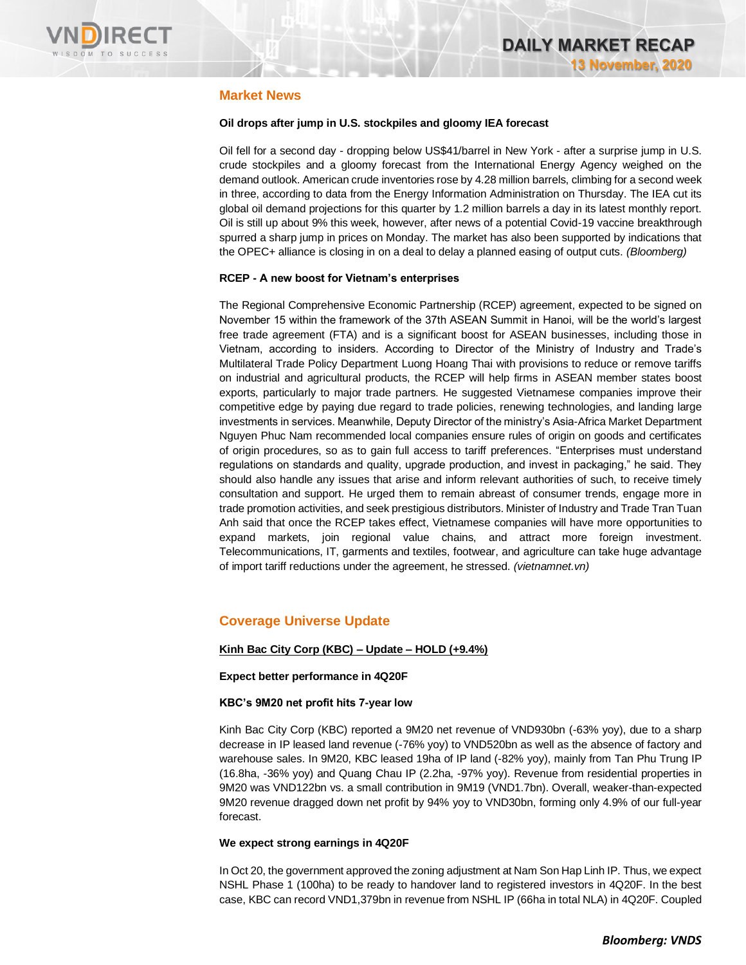

## **Market News**

## **Oil drops after jump in U.S. stockpiles and gloomy IEA forecast**

Oil fell for a second day - dropping below US\$41/barrel in New York - after a surprise jump in U.S. crude stockpiles and a gloomy forecast from the International Energy Agency weighed on the demand outlook. American crude inventories rose by 4.28 million barrels, climbing for a second week in three, according to data from the Energy Information Administration on Thursday. The IEA cut its global oil demand projections for this quarter by 1.2 million barrels a day in its latest monthly report. Oil is still up about 9% this week, however, after news of a potential Covid-19 vaccine breakthrough spurred a sharp jump in prices on Monday. The market has also been supported by indications that the OPEC+ alliance is closing in on a deal to delay a planned easing of output cuts. *(Bloomberg)*

## **RCEP - A new boost for Vietnam's enterprises**

The Regional Comprehensive Economic Partnership (RCEP) agreement, expected to be signed on November 15 within the framework of the 37th ASEAN Summit in Hanoi, will be the world's largest free trade agreement (FTA) and is a significant boost for ASEAN businesses, including those in Vietnam, according to insiders. According to Director of the Ministry of Industry and Trade's Multilateral Trade Policy Department Luong Hoang Thai with provisions to reduce or remove tariffs on industrial and agricultural products, the RCEP will help firms in ASEAN member states boost exports, particularly to major trade partners. He suggested Vietnamese companies improve their competitive edge by paying due regard to trade policies, renewing technologies, and landing large investments in services. Meanwhile, Deputy Director of the ministry's Asia-Africa Market Department Nguyen Phuc Nam recommended local companies ensure rules of origin on goods and certificates of origin procedures, so as to gain full access to tariff preferences. "Enterprises must understand regulations on standards and quality, upgrade production, and invest in packaging," he said. They should also handle any issues that arise and inform relevant authorities of such, to receive timely consultation and support. He urged them to remain abreast of consumer trends, engage more in trade promotion activities, and seek prestigious distributors. Minister of Industry and Trade Tran Tuan Anh said that once the RCEP takes effect, Vietnamese companies will have more opportunities to expand markets, join regional value chains, and attract more foreign investment. Telecommunications, IT, garments and textiles, footwear, and agriculture can take huge advantage of import tariff reductions under the agreement, he stressed. *(vietnamnet.vn)*

## **Coverage Universe Update**

## **Kinh Bac City Corp (KBC) – Update – HOLD (+9.4%)**

## **Expect better performance in 4Q20F**

#### **KBC's 9M20 net profit hits 7-year low**

Kinh Bac City Corp (KBC) reported a 9M20 net revenue of VND930bn (-63% yoy), due to a sharp decrease in IP leased land revenue (-76% yoy) to VND520bn as well as the absence of factory and warehouse sales. In 9M20, KBC leased 19ha of IP land (-82% yoy), mainly from Tan Phu Trung IP (16.8ha, -36% yoy) and Quang Chau IP (2.2ha, -97% yoy). Revenue from residential properties in 9M20 was VND122bn vs. a small contribution in 9M19 (VND1.7bn). Overall, weaker-than-expected 9M20 revenue dragged down net profit by 94% yoy to VND30bn, forming only 4.9% of our full-year forecast.

#### **We expect strong earnings in 4Q20F**

In Oct 20, the government approved the zoning adjustment at Nam Son Hap Linh IP. Thus, we expect NSHL Phase 1 (100ha) to be ready to handover land to registered investors in 4Q20F. In the best case, KBC can record VND1,379bn in revenue from NSHL IP (66ha in total NLA) in 4Q20F. Coupled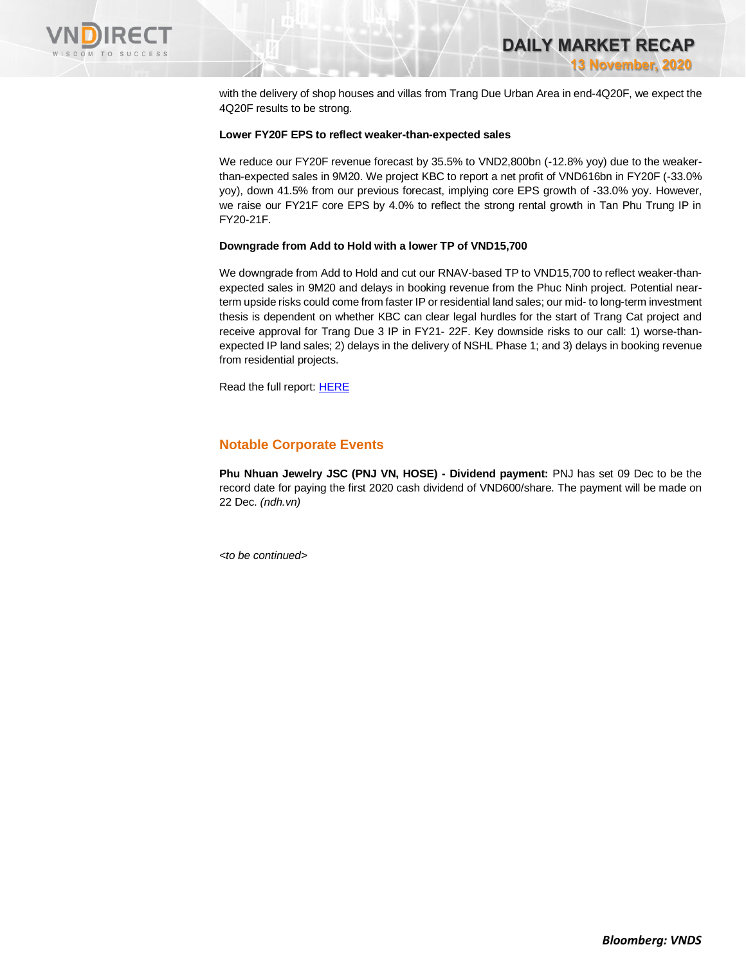

with the delivery of shop houses and villas from Trang Due Urban Area in end-4Q20F, we expect the 4Q20F results to be strong.

## **Lower FY20F EPS to reflect weaker-than-expected sales**

We reduce our FY20F revenue forecast by 35.5% to VND2,800bn (-12.8% yoy) due to the weakerthan-expected sales in 9M20. We project KBC to report a net profit of VND616bn in FY20F (-33.0% yoy), down 41.5% from our previous forecast, implying core EPS growth of -33.0% yoy. However, we raise our FY21F core EPS by 4.0% to reflect the strong rental growth in Tan Phu Trung IP in FY20-21F.

## **Downgrade from Add to Hold with a lower TP of VND15,700**

We downgrade from Add to Hold and cut our RNAV-based TP to VND15,700 to reflect weaker-thanexpected sales in 9M20 and delays in booking revenue from the Phuc Ninh project. Potential nearterm upside risks could come from faster IP or residential land sales; our mid- to long-term investment thesis is dependent on whether KBC can clear legal hurdles for the start of Trang Cat project and receive approval for Trang Due 3 IP in FY21- 22F. Key downside risks to our call: 1) worse-thanexpected IP land sales; 2) delays in the delivery of NSHL Phase 1; and 3) delays in booking revenue from residential projects.

Read the full report[: HERE](https://nhanha-public-api.vndirect.com.vn/click/OGE0ODlmZDA3NTYyMzU3MDAxNzU2MmUzNWNiMzEyMTE=/NDZjOWEyZjVhOTRhNGQxNjkwMjkyYTQ5ZDRhZWZiMGE=/46c9a2f5a94a4d1690292a49d4aefb0a-KBC_Update_20201112.pdf/cmVzZWFyY2hAdm5kaXJlY3QuY29tLnZu/MjQyMTM=)

## **Notable Corporate Events**

**Phu Nhuan Jewelry JSC (PNJ VN, HOSE) - Dividend payment:** PNJ has set 09 Dec to be the record date for paying the first 2020 cash dividend of VND600/share. The payment will be made on 22 Dec. *(ndh.vn)*

*<to be continued>*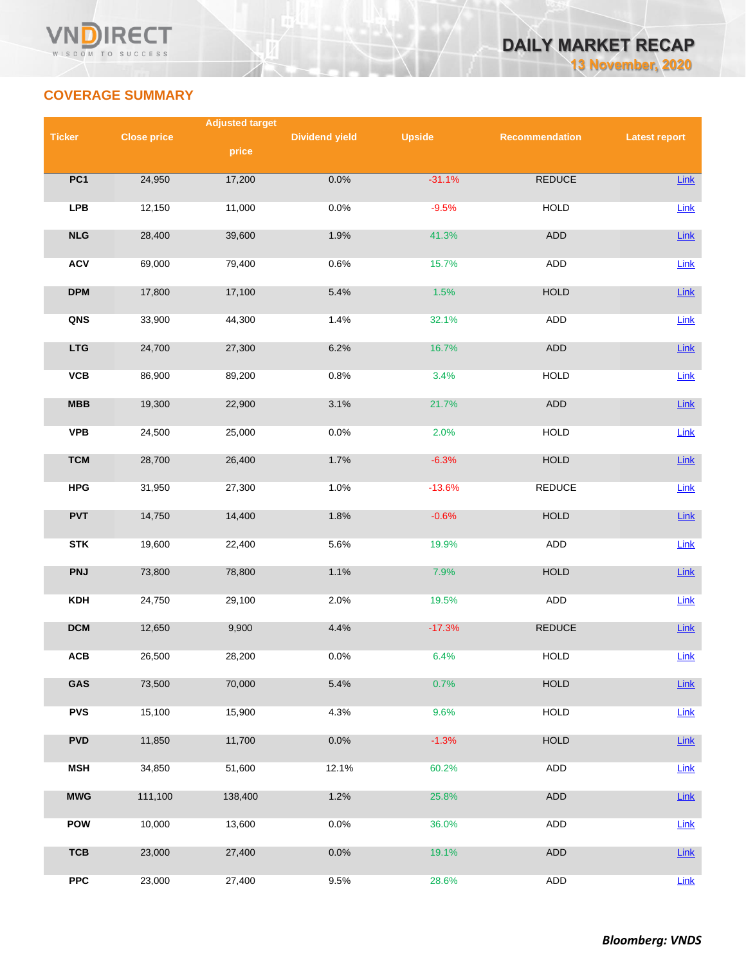

# **COVERAGE SUMMARY**

|                 | <b>Adjusted target</b> |         |                       |               |                |                      |  |  |
|-----------------|------------------------|---------|-----------------------|---------------|----------------|----------------------|--|--|
| <b>Ticker</b>   | <b>Close price</b>     |         | <b>Dividend yield</b> | <b>Upside</b> | Recommendation | <b>Latest report</b> |  |  |
|                 |                        | price   |                       |               |                |                      |  |  |
| PC <sub>1</sub> | 24,950                 | 17,200  | 0.0%                  | $-31.1%$      | REDUCE         | Link                 |  |  |
| <b>LPB</b>      | 12,150                 | 11,000  | 0.0%                  | $-9.5%$       | <b>HOLD</b>    | Link                 |  |  |
| NLG             | 28,400                 | 39,600  | 1.9%                  | 41.3%         | ADD            | Link                 |  |  |
| <b>ACV</b>      | 69,000                 | 79,400  | 0.6%                  | 15.7%         | <b>ADD</b>     | Link                 |  |  |
| <b>DPM</b>      | 17,800                 | 17,100  | 5.4%                  | 1.5%          | <b>HOLD</b>    | Link                 |  |  |
| QNS             | 33,900                 | 44,300  | 1.4%                  | 32.1%         | ADD            | Link                 |  |  |
| <b>LTG</b>      | 24,700                 | 27,300  | 6.2%                  | 16.7%         | ADD            | Link                 |  |  |
| VCB             | 86,900                 | 89,200  | 0.8%                  | 3.4%          | <b>HOLD</b>    | Link                 |  |  |
| MBB             | 19,300                 | 22,900  | 3.1%                  | 21.7%         | ADD            | Link                 |  |  |
| <b>VPB</b>      | 24,500                 | 25,000  | 0.0%                  | 2.0%          | <b>HOLD</b>    | Link                 |  |  |
| <b>TCM</b>      | 28,700                 | 26,400  | 1.7%                  | $-6.3%$       | <b>HOLD</b>    | Link                 |  |  |
| <b>HPG</b>      | 31,950                 | 27,300  | 1.0%                  | $-13.6%$      | REDUCE         | Link                 |  |  |
| <b>PVT</b>      | 14,750                 | 14,400  | 1.8%                  | $-0.6%$       | <b>HOLD</b>    | Link                 |  |  |
| <b>STK</b>      | 19,600                 | 22,400  | 5.6%                  | 19.9%         | ADD            | Link                 |  |  |
| <b>PNJ</b>      | 73,800                 | 78,800  | 1.1%                  | 7.9%          | <b>HOLD</b>    | Link                 |  |  |
| <b>KDH</b>      | 24,750                 | 29,100  | 2.0%                  | 19.5%         | <b>ADD</b>     | Link                 |  |  |
| <b>DCM</b>      | 12,650                 | 9,900   | 4.4%                  | $-17.3%$      | <b>REDUCE</b>  | Link                 |  |  |
| ACB             | 26,500                 | 28,200  | 0.0%                  | 6.4%          | <b>HOLD</b>    | Link                 |  |  |
| GAS             | 73,500                 | 70,000  | 5.4%                  | 0.7%          | <b>HOLD</b>    | Link                 |  |  |
| <b>PVS</b>      | 15,100                 | 15,900  | 4.3%                  | 9.6%          | HOLD           | Link                 |  |  |
| <b>PVD</b>      | 11,850                 | 11,700  | 0.0%                  | $-1.3%$       | <b>HOLD</b>    | Link                 |  |  |
| <b>MSH</b>      | 34,850                 | 51,600  | 12.1%                 | 60.2%         | ADD            | Link                 |  |  |
| <b>MWG</b>      | 111,100                | 138,400 | 1.2%                  | 25.8%         | ADD            | Link                 |  |  |
| <b>POW</b>      | 10,000                 | 13,600  | 0.0%                  | 36.0%         | ADD            | Link                 |  |  |
| <b>TCB</b>      | 23,000                 | 27,400  | 0.0%                  | 19.1%         | ADD            | Link                 |  |  |
| ${\sf PPC}$     | 23,000                 | 27,400  | 9.5%                  | 28.6%         | ADD            | Link                 |  |  |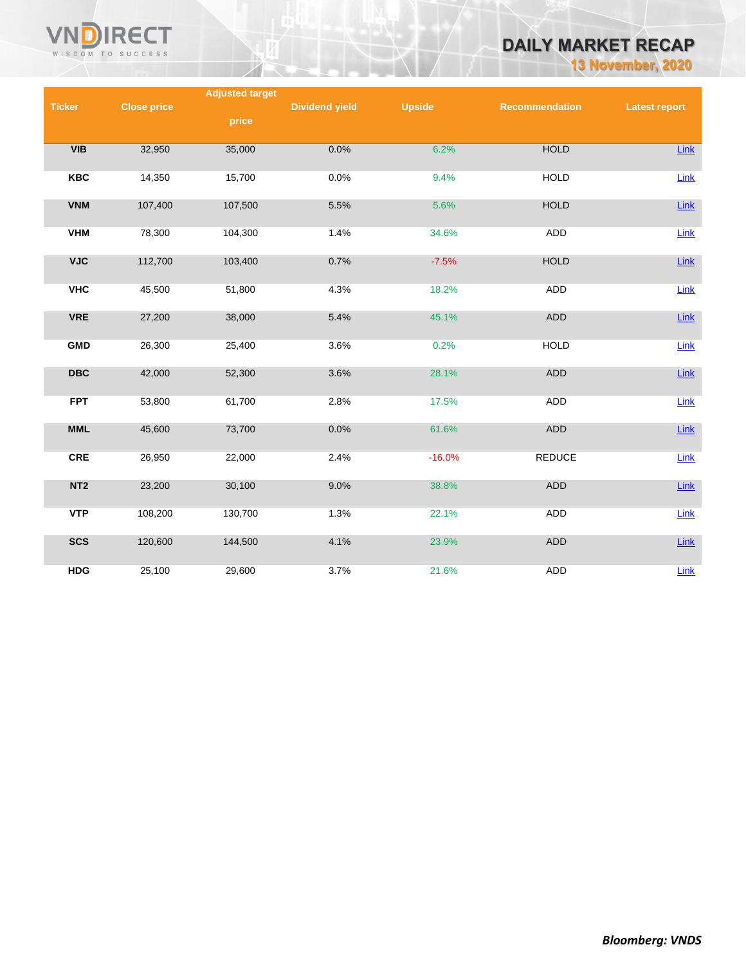

# **DAILY MARKET RECAP**

**13 November, 2020**

|                 |                    | <b>Adjusted target</b> |                       |               |                |                      |
|-----------------|--------------------|------------------------|-----------------------|---------------|----------------|----------------------|
| <b>Ticker</b>   | <b>Close price</b> |                        | <b>Dividend yield</b> | <b>Upside</b> | Recommendation | <b>Latest report</b> |
|                 |                    | price                  |                       |               |                |                      |
|                 |                    |                        |                       |               |                |                      |
| VIB             | 32,950             | 35,000                 | 0.0%                  | 6.2%          | <b>HOLD</b>    | <b>Link</b>          |
|                 |                    |                        |                       |               |                |                      |
| KBC             | 14,350             | 15,700                 | 0.0%                  | 9.4%          | <b>HOLD</b>    | Link                 |
|                 |                    |                        |                       |               |                |                      |
| <b>VNM</b>      | 107,400            | 107,500                | 5.5%                  | 5.6%          | <b>HOLD</b>    | Link                 |
|                 |                    |                        |                       |               |                |                      |
| <b>VHM</b>      | 78,300             | 104,300                | 1.4%                  | 34.6%         | ADD            | <b>Link</b>          |
|                 |                    |                        |                       |               |                |                      |
| <b>VJC</b>      | 112,700            | 103,400                | 0.7%                  | $-7.5%$       | <b>HOLD</b>    | Link                 |
|                 |                    |                        |                       |               |                |                      |
| <b>VHC</b>      | 45,500             | 51,800                 | 4.3%                  | 18.2%         | <b>ADD</b>     | Link                 |
| <b>VRE</b>      | 27,200             | 38,000                 | 5.4%                  | 45.1%         | ADD            | Link                 |
|                 |                    |                        |                       |               |                |                      |
| <b>GMD</b>      | 26,300             | 25,400                 | 3.6%                  | 0.2%          | <b>HOLD</b>    | Link                 |
|                 |                    |                        |                       |               |                |                      |
| <b>DBC</b>      | 42,000             | 52,300                 | 3.6%                  | 28.1%         | <b>ADD</b>     | Link                 |
|                 |                    |                        |                       |               |                |                      |
| <b>FPT</b>      | 53,800             | 61,700                 | 2.8%                  | 17.5%         | <b>ADD</b>     | Link                 |
|                 |                    |                        |                       |               |                |                      |
| <b>MML</b>      | 45,600             | 73,700                 | 0.0%                  | 61.6%         | ADD            | Link                 |
|                 |                    |                        |                       |               |                |                      |
| <b>CRE</b>      | 26,950             | 22,000                 | 2.4%                  | $-16.0%$      | <b>REDUCE</b>  | Link                 |
|                 |                    |                        |                       |               |                |                      |
| NT <sub>2</sub> | 23,200             | 30,100                 | 9.0%                  | 38.8%         | <b>ADD</b>     | Link                 |
|                 |                    |                        |                       |               |                |                      |
| <b>VTP</b>      | 108,200            | 130,700                | 1.3%                  | 22.1%         | ADD            | Link                 |
|                 |                    |                        |                       |               |                |                      |
| <b>SCS</b>      | 120,600            | 144,500                | 4.1%                  | 23.9%         | <b>ADD</b>     | Link                 |
|                 |                    |                        |                       |               |                |                      |
| <b>HDG</b>      | 25,100             | 29,600                 | 3.7%                  | 21.6%         | <b>ADD</b>     | Link                 |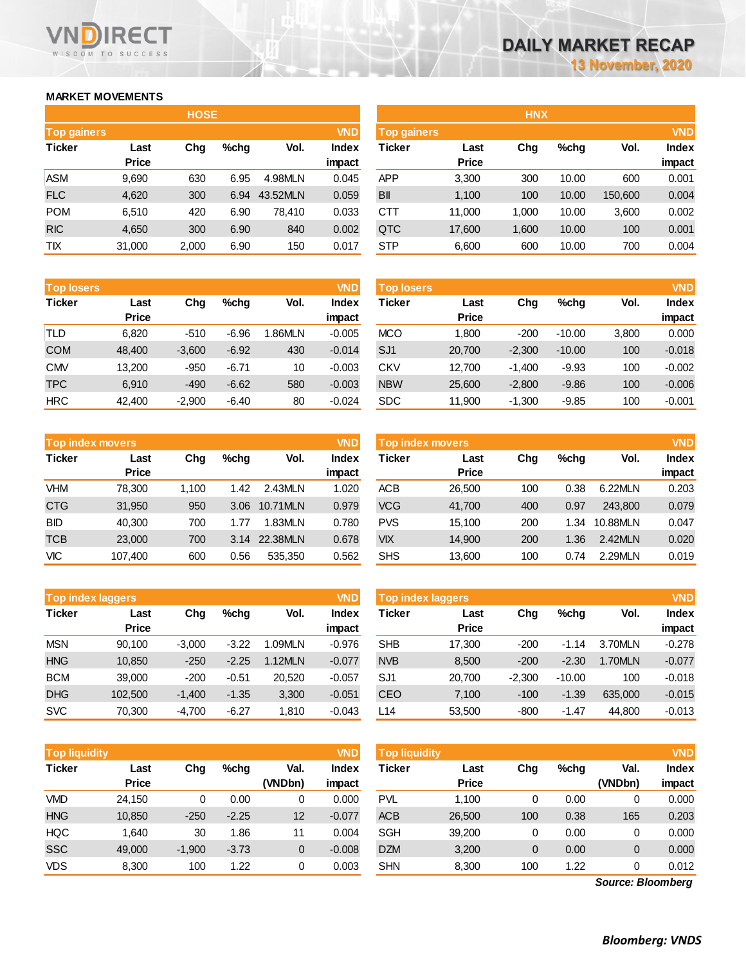## **MARKET MOVEMENTS**

WISDOM TO SUCCESS

VND

**RECT** 

|                    | <b>HOSE</b> |       |      |          |              |  |  |  |  |  |
|--------------------|-------------|-------|------|----------|--------------|--|--|--|--|--|
| <b>Top gainers</b> |             |       |      |          | <b>VND</b>   |  |  |  |  |  |
| <b>Ticker</b>      | Last        | Cha   | %chq | Vol.     | <b>Index</b> |  |  |  |  |  |
|                    | Price       |       |      |          | impact       |  |  |  |  |  |
| ASM                | 9,690       | 630   | 6.95 | 4.98MLN  | 0.045        |  |  |  |  |  |
| <b>FLC</b>         | 4,620       | 300   | 6.94 | 43.52MLN | 0.059        |  |  |  |  |  |
| <b>POM</b>         | 6,510       | 420   | 6.90 | 78.410   | 0.033        |  |  |  |  |  |
| <b>RIC</b>         | 4,650       | 300   | 6.90 | 840      | 0.002        |  |  |  |  |  |
| TIX                | 31,000      | 2,000 | 6.90 | 150      | 0.017        |  |  |  |  |  |

| <b>Top losers</b> |              |          |         |         | <b>VND</b>   |
|-------------------|--------------|----------|---------|---------|--------------|
| <b>Ticker</b>     | Last         | Chq      | %chq    | Vol.    | <b>Index</b> |
|                   | <b>Price</b> |          |         |         | impact       |
| TLD               | 6,820        | $-510$   | $-6.96$ | 1.86MLN | $-0.005$     |
| <b>COM</b>        | 48,400       | $-3,600$ | $-6.92$ | 430     | $-0.014$     |
| <b>CMV</b>        | 13,200       | $-950$   | $-6.71$ | 10      | $-0.003$     |
| <b>TPC</b>        | 6,910        | $-490$   | $-6.62$ | 580     | $-0.003$     |
| <b>HRC</b>        | 42,400       | $-2,900$ | $-6.40$ | 80      | $-0.024$     |

|               | <b>Top index movers</b> |       |      |          |              |  |  |  |
|---------------|-------------------------|-------|------|----------|--------------|--|--|--|
| <b>Ticker</b> | Last                    | Chq   | %chq | Vol.     | <b>Index</b> |  |  |  |
|               | <b>Price</b>            |       |      |          | impact       |  |  |  |
| VHM           | 78,300                  | 1,100 | 1.42 | 2.43MLN  | 1.020        |  |  |  |
| <b>CTG</b>    | 31,950                  | 950   | 3.06 | 10.71MLN | 0.979        |  |  |  |
| <b>BID</b>    | 40,300                  | 700   | 1.77 | 1.83MLN  | 0.780        |  |  |  |
| <b>TCB</b>    | 23,000                  | 700   | 3.14 | 22.38MLN | 0.678        |  |  |  |
| VIC           | 107,400                 | 600   | 0.56 | 535,350  | 0.562        |  |  |  |

| <b>Top index laggers</b> |              |          |         |         |              |  |  |  |
|--------------------------|--------------|----------|---------|---------|--------------|--|--|--|
| <b>Ticker</b>            | Last         | Chq      | %chq    | Vol.    | <b>Index</b> |  |  |  |
|                          | <b>Price</b> |          |         |         | impact       |  |  |  |
| <b>MSN</b>               | 90,100       | $-3,000$ | $-3.22$ | 1.09MLN | $-0.976$     |  |  |  |
| <b>HNG</b>               | 10,850       | $-250$   | $-2.25$ | 1.12MLN | $-0.077$     |  |  |  |
| <b>BCM</b>               | 39,000       | $-200$   | $-0.51$ | 20,520  | $-0.057$     |  |  |  |
| <b>DHG</b>               | 102,500      | $-1,400$ | $-1.35$ | 3,300   | $-0.051$     |  |  |  |
| <b>SVC</b>               | 70,300       | $-4,700$ | $-6.27$ | 1,810   | $-0.043$     |  |  |  |

| <b>VND</b><br><b>Top liquidity</b> |              |          |         |         |              |  |  |  |
|------------------------------------|--------------|----------|---------|---------|--------------|--|--|--|
| <b>Ticker</b>                      | Last         | Chq      | %chq    | Val.    | <b>Index</b> |  |  |  |
|                                    | <b>Price</b> |          |         | (VNDbn) | impact       |  |  |  |
| VMD                                | 24,150       | 0        | 0.00    | 0       | 0.000        |  |  |  |
| <b>HNG</b>                         | 10,850       | $-250$   | $-2.25$ | 12      | $-0.077$     |  |  |  |
| <b>HQC</b>                         | 1,640        | 30       | 1.86    | 11      | 0.004        |  |  |  |
| <b>SSC</b>                         | 49,000       | $-1,900$ | $-3.73$ | 0       | $-0.008$     |  |  |  |
| <b>VDS</b>                         | 8,300        | 100      | 1.22    | 0       | 0.003        |  |  |  |

|                    |              | <b>HOSE</b> |         |          |              |                    |              | <b>HNX</b> |       |         |              |
|--------------------|--------------|-------------|---------|----------|--------------|--------------------|--------------|------------|-------|---------|--------------|
| <b>Top gainers</b> |              |             |         |          | <b>VND</b>   | <b>Top gainers</b> |              |            |       |         | <b>VND</b>   |
| Ticker             | Last         | Chg         | $%$ chq | Vol.     | <b>Index</b> | Ticker             | Last         | Chg        | %chg  | Vol.    | <b>Index</b> |
|                    | <b>Price</b> |             |         |          | impact       |                    | <b>Price</b> |            |       |         | impact       |
| ASM                | 9,690        | 630         | 6.95    | 4.98MLN  | 0.045        | <b>APP</b>         | 3,300        | 300        | 10.00 | 600     | 0.001        |
| <b>FLC</b>         | 4,620        | 300         | 6.94    | 43.52MLN | 0.059        | BII                | 1,100        | 100        | 10.00 | 150,600 | 0.004        |
| <b>POM</b>         | 6,510        | 420         | 6.90    | 78,410   | 0.033        | CTT                | 11,000       | 1.000      | 10.00 | 3,600   | 0.002        |
| <b>RIC</b>         | 4,650        | 300         | 6.90    | 840      | 0.002        | QTC                | 17,600       | 1,600      | 10.00 | 100     | 0.001        |
| ТIХ                | 31,000       | 2,000       | 6.90    | 150      | 0.017        | <b>STP</b>         | 6,600        | 600        | 10.00 | 700     | 0.004        |
|                    |              |             |         |          |              |                    |              |            |       |         |              |

| <b>Top losers</b> |              |          |         |        | <b>VND</b> | <b>Top losers</b> |              |          |          |       | <b>VND</b>   |
|-------------------|--------------|----------|---------|--------|------------|-------------------|--------------|----------|----------|-------|--------------|
| Ticker            | Last         | Chg      | %chq    | Vol.   | Index      | Ticker            | Last         | Chg      | %chq     | Vol.  | <b>Index</b> |
|                   | <b>Price</b> |          |         |        | impact     |                   | <b>Price</b> |          |          |       | impact       |
| TLD               | 6.820        | $-510$   | $-6.96$ | .86MLN | $-0.005$   | <b>MCO</b>        | 1.800        | $-200$   | $-10.00$ | 3.800 | 0.000        |
| COM               | 48,400       | $-3,600$ | $-6.92$ | 430    | $-0.014$   | SJ <sub>1</sub>   | 20,700       | $-2,300$ | $-10.00$ | 100   | $-0.018$     |
| CMV               | 13,200       | $-950$   | $-6.71$ | 10     | $-0.003$   | <b>CKV</b>        | 12.700       | $-1.400$ | $-9.93$  | 100   | $-0.002$     |
| TPC               | 6.910        | $-490$   | $-6.62$ | 580    | $-0.003$   | <b>NBW</b>        | 25,600       | $-2,800$ | $-9.86$  | 100   | $-0.006$     |
| HRC               | 42,400       | $-2,900$ | $-6.40$ | 80     | $-0.024$   | <b>SDC</b>        | 11,900       | $-1,300$ | $-9.85$  | 100   | $-0.001$     |

|            | Top index movers |       |      |          | <b>VND</b> | <b>VND</b><br><b>Top index movers</b> |              |     |      |          |              |  |
|------------|------------------|-------|------|----------|------------|---------------------------------------|--------------|-----|------|----------|--------------|--|
|            |                  |       |      |          |            |                                       |              |     |      |          |              |  |
| Ticker     | Last             | Chg   | %chq | Vol.     | Index      | Ticker                                | Last         | Chg | %chq | Vol.     | <b>Index</b> |  |
|            | <b>Price</b>     |       |      |          | impact     |                                       | <b>Price</b> |     |      |          | impact       |  |
| <b>VHM</b> | 78.300           | 1.100 | 1.42 | 2.43MLN  | 1.020      | ACB                                   | 26,500       | 100 | 0.38 | 6.22MLN  | 0.203        |  |
| <b>CTG</b> | 31,950           | 950   | 3.06 | 10.71MLN | 0.979      | <b>VCG</b>                            | 41,700       | 400 | 0.97 | 243,800  | 0.079        |  |
| BID        | 40.300           | 700   | 1.77 | 1.83MLN  | 0.780      | <b>PVS</b>                            | 15.100       | 200 | 1.34 | 10.88MLN | 0.047        |  |
| TCB        | 23,000           | 700   | 3.14 | 22.38MLN | 0.678      | <b>VIX</b>                            | 14,900       | 200 | 1.36 | 2.42MLN  | 0.020        |  |
| VIC        | 107,400          | 600   | 0.56 | 535,350  | 0.562      | <b>SHS</b>                            | 13,600       | 100 | 0.74 | 2.29MLN  | 0.019        |  |

|         |                                          |         |         | <b>VND</b> | <b>VND</b><br>Top index laggers |        |              |          |                |          |  |
|---------|------------------------------------------|---------|---------|------------|---------------------------------|--------|--------------|----------|----------------|----------|--|
| Last    | Vol.<br>Chg<br>$%$ chq                   |         | Index   | Ticker     | Last                            | Chg    | %chq         | Vol.     | Index          |          |  |
|         |                                          |         |         |            |                                 |        |              |          |                | impact   |  |
| 90,100  | $-3,000$                                 | $-3.22$ | 1.09MLN | $-0.976$   | <b>SHB</b>                      | 17,300 | $-200$       | $-1.14$  | 3.70MLN        | $-0.278$ |  |
| 10,850  | $-250$                                   | $-2.25$ | 1.12MLN | $-0.077$   | <b>NVB</b>                      | 8.500  | $-200$       | $-2.30$  | <b>1.70MLN</b> | $-0.077$ |  |
| 39.000  | $-200$                                   | $-0.51$ | 20,520  | $-0.057$   | SJ <sub>1</sub>                 | 20.700 | $-2.300$     | $-10.00$ | 100            | $-0.018$ |  |
| 102.500 | $-1,400$                                 | $-1.35$ | 3,300   | $-0.051$   | <b>CEO</b>                      | 7,100  | $-100$       | $-1.39$  | 635,000        | $-0.015$ |  |
| 70,300  | $-4,700$                                 | $-6.27$ | 1,810   | $-0.043$   | L14                             | 53,500 | $-800$       | $-1.47$  | 44.800         | $-0.013$ |  |
|         | <b>Top index laggers</b><br><b>Price</b> |         |         |            | impact                          |        | <b>Price</b> |          |                |          |  |

| Top liquidity' |                      |          |         |                 | <b>VND</b>      | <b>Top liquidity</b> |                      |     |      |                 | <b>VND</b>             |
|----------------|----------------------|----------|---------|-----------------|-----------------|----------------------|----------------------|-----|------|-----------------|------------------------|
| Ticker         | Last<br><b>Price</b> | Chg      | %chq    | Val.<br>(VNDbn) | Index<br>impact | Ticker               | Last<br><b>Price</b> | Chg | %chq | Val.<br>(VNDbn) | <b>Index</b><br>impact |
| VMD            | 24.150               |          | 0.00    | 0               | 0.000           | PVL                  | 1.100                | 0   | 0.00 |                 | 0.000                  |
| <b>HNG</b>     | 10,850               | $-250$   | $-2.25$ | 12              | $-0.077$        | <b>ACB</b>           | 26,500               | 100 | 0.38 | 165             | 0.203                  |
| HQC            | 1.640                | 30       | 1.86    |                 | 0.004           | SGH                  | 39,200               | 0   | 0.00 |                 | 0.000                  |
| SSC            | 49,000               | $-1,900$ | $-3.73$ | 0               | $-0.008$        | <b>DZM</b>           | 3,200                | 0   | 0.00 |                 | 0.000                  |
| VDS            | 8,300                | 100      | 1.22    | 0               | 0.003           | <b>SHN</b>           | 8,300                | 100 | 1.22 |                 | 0.012                  |

*Source: Bloomberg*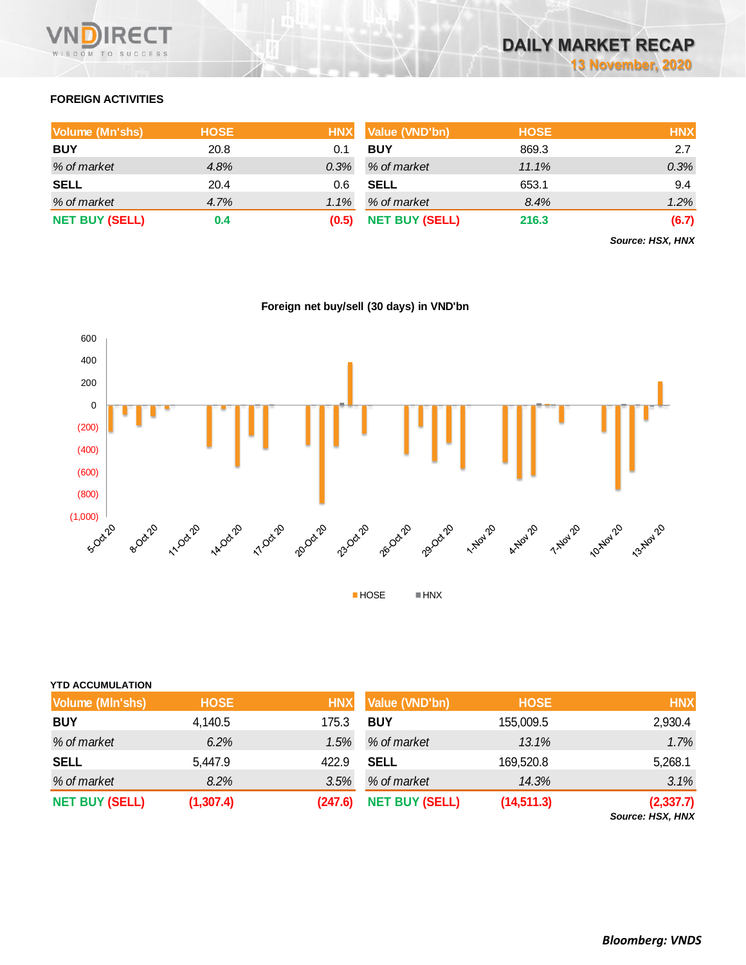

# **FOREIGN ACTIVITIES**

| Volume (Mn'shs)       | <b>HOSE</b> | <b>HNX</b> | Value (VND'bn)        | <b>HOSE</b> | <b>HNX</b> |
|-----------------------|-------------|------------|-----------------------|-------------|------------|
| <b>BUY</b>            | 20.8        | 0.1        | <b>BUY</b>            | 869.3       | 2.7        |
| % of market           | 4.8%        | 0.3%       | % of market           | 11.1%       | 0.3%       |
| <b>SELL</b>           | 20.4        | 0.6        | <b>SELL</b>           | 653.1       | 9.4        |
| % of market           | 4.7%        | 1.1%       | % of market           | 8.4%        | 1.2%       |
| <b>NET BUY (SELL)</b> | 0.4         | (0.5)      | <b>NET BUY (SELL)</b> | 216.3       | (6.7)      |

*Source: HSX, HNX*



**Foreign net buy/sell (30 days) in VND'bn**

| <b>YTD ACCUMULATION</b> |             |            |                       |             |                                |
|-------------------------|-------------|------------|-----------------------|-------------|--------------------------------|
| Volume (MIn'shs)        | <b>HOSE</b> | <b>HNX</b> | Value (VND'bn)        | <b>HOSE</b> | <b>HNX</b>                     |
| <b>BUY</b>              | 4,140.5     | 175.3      | <b>BUY</b>            | 155,009.5   | 2,930.4                        |
| % of market             | 6.2%        | 1.5%       | % of market           | 13.1%       | 1.7%                           |
| <b>SELL</b>             | 5,447.9     | 422.9      | <b>SELL</b>           | 169,520.8   | 5,268.1                        |
| % of market             | 8.2%        | 3.5%       | % of market           | 14.3%       | 3.1%                           |
| <b>NET BUY (SELL)</b>   | (1, 307.4)  | (247.6)    | <b>NET BUY (SELL)</b> | (14, 511.3) | (2, 337.7)<br>Source: HSX, HNX |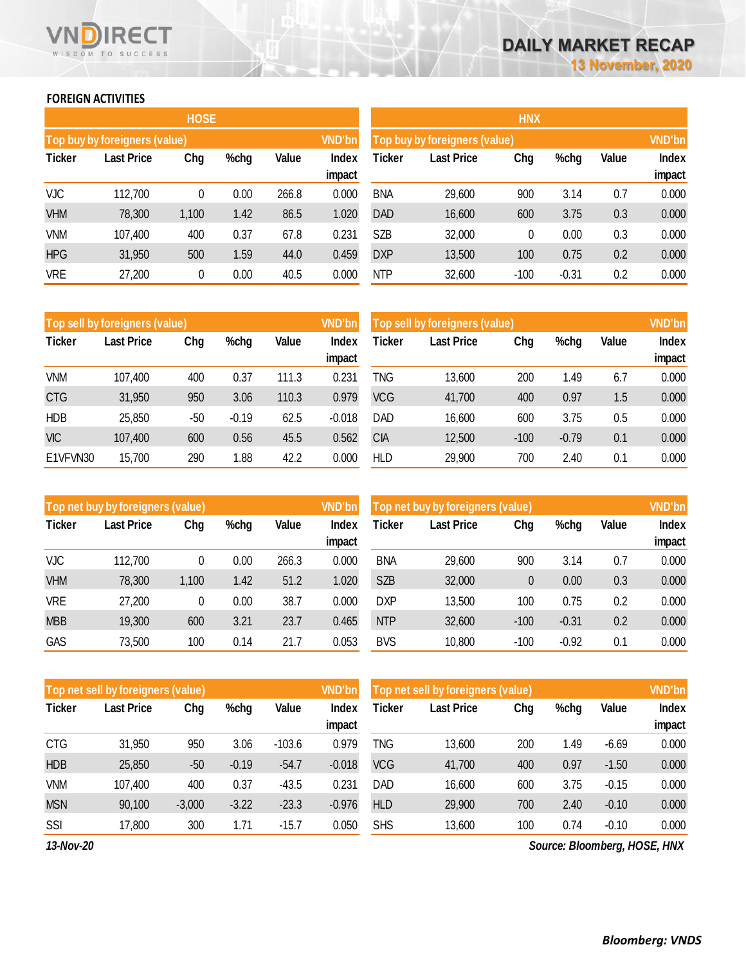## **FOREIGN ACTIVITIES**

WISDOM TO SUCCESS

**RECT** 

 $\mathcal{L}_{\mathcal{L}}$ 

 $\sim 10^{-1}$ 

 $\sim 10^7$ 

VND

|               |                                           | <b>HOSE</b> |      |                 |                                            | <b>HNX</b>                    |        |        |         |                 |       |  |
|---------------|-------------------------------------------|-------------|------|-----------------|--------------------------------------------|-------------------------------|--------|--------|---------|-----------------|-------|--|
|               | Top buy by foreigners (value)             |             |      |                 | <b>VND'bn</b>                              | Top buy by foreigners (value) |        |        |         |                 |       |  |
| <b>Ticker</b> | Value<br><b>Last Price</b><br>Chg<br>%chg |             |      | Index<br>impact | Ticker<br>Chg<br>%chg<br><b>Last Price</b> |                               |        |        | Value   | Index<br>impact |       |  |
| VJC           | 112,700                                   | 0           | 0.00 | 266.8           | 0.000                                      | <b>BNA</b>                    | 29,600 | 900    | 3.14    | 0.7             | 0.000 |  |
| <b>VHM</b>    | 78,300                                    | 1,100       | 1.42 | 86.5            | 1.020                                      | <b>DAD</b>                    | 16,600 | 600    | 3.75    | 0.3             | 0.000 |  |
| <b>VNM</b>    | 107,400                                   | 400         | 0.37 | 67.8            | 0.231                                      | SZB                           | 32,000 | 0      | 0.00    | 0.3             | 0.000 |  |
| <b>HPG</b>    | 31,950                                    | 500         | 1.59 | 44.0            | 0.459                                      | <b>DXP</b>                    | 13,500 | 100    | 0.75    | 0.2             | 0.000 |  |
| <b>VRE</b>    | 27,200                                    | 0           | 0.00 | 40.5            | 0.000                                      | <b>NTP</b>                    | 32,600 | $-100$ | $-0.31$ | 0.2             | 0.000 |  |

|               | Top sell by foreigners (value) |       |         |       | <b>VND'bn</b>   | Top sell by foreigners (value) |                   |        |         |       |                 |
|---------------|--------------------------------|-------|---------|-------|-----------------|--------------------------------|-------------------|--------|---------|-------|-----------------|
| <b>Ticker</b> | <b>Last Price</b><br>Chg       |       | %chg    | Value | Index           | Ticker                         | <b>Last Price</b> | Chg    | %chg    | Value | Index           |
| <b>VNM</b>    | 107,400                        | 400   | 0.37    | 111.3 | impact<br>0.231 | TNG                            | 13,600            | 200    | 1.49    | 6.7   | impact<br>0.000 |
| <b>CTG</b>    | 31,950                         | 950   | 3.06    | 110.3 | 0.979           | <b>VCG</b>                     | 41,700            | 400    | 0.97    | 1.5   | 0.000           |
| <b>HDB</b>    | 25,850                         | $-50$ | $-0.19$ | 62.5  | $-0.018$        | DAD                            | 16,600            | 600    | 3.75    | 0.5   | 0.000           |
| <b>VIC</b>    | 107,400                        | 600   | 0.56    | 45.5  | 0.562           | СIА                            | 12,500            | $-100$ | $-0.79$ | 0.1   | 0.000           |
| E1VFVN30      | 15,700                         | 290   | 1.88    | 42.2  | 0.000           | HLD                            | 29,900            | 700    | 2.40    | 0.1   | 0.000           |

|               | Top net buy by foreigners (value) |       |              |       | <b>VND'bn</b> | Top net buy by foreigners (value) |        | <b>VND'bn</b> |         |              |        |
|---------------|-----------------------------------|-------|--------------|-------|---------------|-----------------------------------|--------|---------------|---------|--------------|--------|
| <b>Ticker</b> | <b>Last Price</b><br>Chg<br>%chg  |       | <b>Value</b> | Index | <b>Ticker</b> | Chg<br><b>Last Price</b><br>%chg  |        |               |         | <b>Index</b> |        |
|               |                                   |       |              |       | impact        |                                   |        |               |         |              | impact |
| <b>VJC</b>    | 112,700                           |       | 0.00         | 266.3 | 0.000         | <b>BNA</b>                        | 29,600 | 900           | 3.14    | 0.7          | 0.000  |
| <b>VHM</b>    | 78,300                            | 1,100 | 1.42         | 51.2  | 1.020         | <b>SZB</b>                        | 32,000 | 0             | 0.00    | 0.3          | 0.000  |
| VRE           | 27,200                            | 0     | 0.00         | 38.7  | 0.000         | <b>DXP</b>                        | 13,500 | 100           | 0.75    | 0.2          | 0.000  |
| <b>MBB</b>    | 19,300                            | 600   | 3.21         | 23.7  | 0.465         | <b>NTP</b>                        | 32,600 | $-100$        | $-0.31$ | 0.2          | 0.000  |
| GAS           | 73,500                            | 100   | 0.14         | 21.7  | 0.053         | <b>BVS</b>                        | 10,800 | $-100$        | $-0.92$ | 0.1          | 0.000  |

|               | Top net sell by foreigners (value)<br><b>VND'bn</b> |          |         |                          |          |            | Top net sell by foreigners (value) |     |      |         |                              |  |
|---------------|-----------------------------------------------------|----------|---------|--------------------------|----------|------------|------------------------------------|-----|------|---------|------------------------------|--|
| <b>Ticker</b> | Last Price                                          | Chg      | %chg    | Value<br>Index<br>impact |          | Ticker     | <b>Last Price</b>                  | Chg | %chg | Value   | Index<br>impact              |  |
| <b>CTG</b>    | 31,950                                              | 950      | 3.06    | $-103.6$                 | 0.979    | TNG        | 13,600                             | 200 | 1.49 | $-6.69$ | 0.000                        |  |
| <b>HDB</b>    | 25,850                                              | $-50$    | $-0.19$ | $-54.7$                  | $-0.018$ | <b>VCG</b> | 41,700                             | 400 | 0.97 | $-1.50$ | 0.000                        |  |
| <b>VNM</b>    | 107,400                                             | 400      | 0.37    | $-43.5$                  | 0.231    | <b>DAD</b> | 16,600                             | 600 | 3.75 | $-0.15$ | 0.000                        |  |
| <b>MSN</b>    | 90,100                                              | $-3,000$ | $-3.22$ | $-23.3$                  | $-0.976$ | <b>HLD</b> | 29,900                             | 700 | 2.40 | $-0.10$ | 0.000                        |  |
| SSI           | 17,800                                              | 300      | 1.71    | $-15.7$                  | 0.050    | <b>SHS</b> | 13,600                             | 100 | 0.74 | $-0.10$ | 0.000                        |  |
| 13-Nov-20     |                                                     |          |         |                          |          |            |                                    |     |      |         | Source: Bloomberg, HOSE, HNX |  |

*Source: Bloomberg, HOSE, HNX*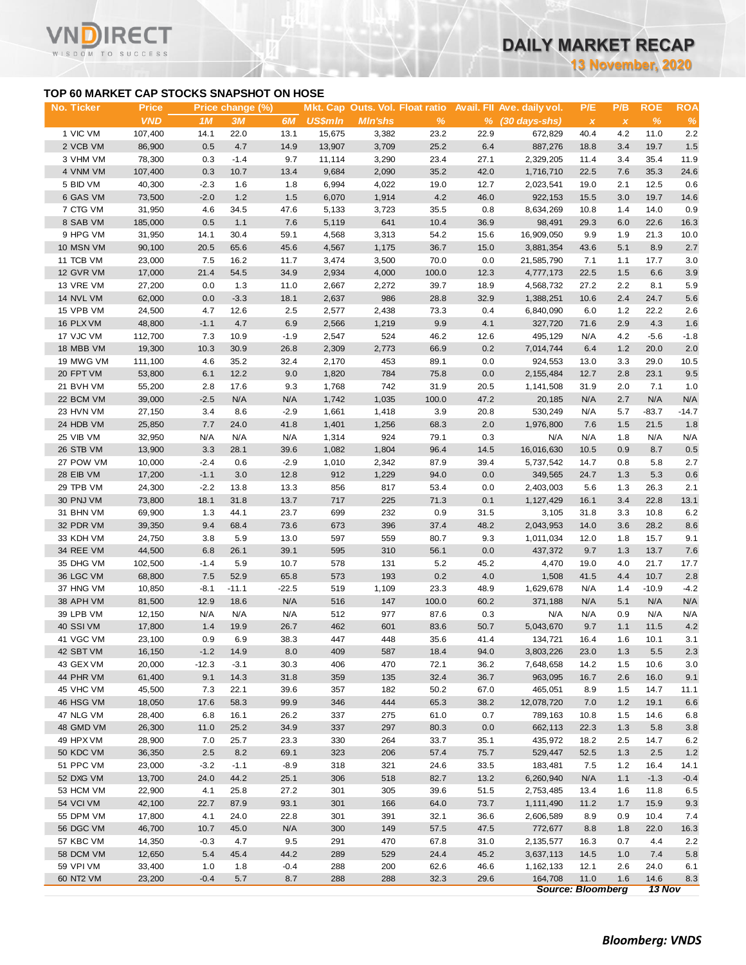**13 November, 2020**

## **TOP 60 MARKET CAP STOCKS SNAPSHOT ON HOSE**

ECT

WISDOM TO SUCCESS

| <b>VND</b><br>1M<br>3M<br>6M<br><b>US\$mln</b><br><b>Min'shs</b><br>$\frac{9}{6}$<br>$%$ $(30 \text{ days-shs})$<br>%<br>$\%$<br>$\pmb{\chi}$<br>$\boldsymbol{\mathsf{x}}$<br>1 VIC VM<br>107,400<br>22.0<br>23.2<br>22.9<br>672,829<br>4.2<br>11.0<br>2.2<br>14.1<br>13.1<br>15,675<br>3,382<br>40.4<br>2 VCB VM<br>86,900<br>0.5<br>4.7<br>14.9<br>13,907<br>3,709<br>25.2<br>6.4<br>887,276<br>18.8<br>3.4<br>19.7<br>1.5<br>3 VHM VM<br>78,300<br>0.3<br>$-1.4$<br>9.7<br>3,290<br>23.4<br>11.9<br>11,114<br>27.1<br>2,329,205<br>11.4<br>3.4<br>35.4<br>4 VNM VM<br>0.3<br>10.7<br>9,684<br>2,090<br>35.2<br>42.0<br>35.3<br>24.6<br>107,400<br>13.4<br>1,716,710<br>22.5<br>7.6<br>5 BID VM<br>40,300<br>6,994<br>4,022<br>19.0<br>$-2.3$<br>1.6<br>1.8<br>12.7<br>2,023,541<br>19.0<br>2.1<br>12.5<br>0.6<br>6 GAS VM<br>1.2<br>4.2<br>73,500<br>$-2.0$<br>1.5<br>6,070<br>1,914<br>46.0<br>922,153<br>15.5<br>3.0<br>19.7<br>14.6<br>7 CTG VM<br>31,950<br>4.6<br>34.5<br>5,133<br>35.5<br>0.8<br>1.4<br>14.0<br>0.9<br>47.6<br>3,723<br>8,634,269<br>10.8<br>641<br>8 SAB VM<br>0.5<br>1.1<br>5,119<br>10.4<br>22.6<br>185,000<br>7.6<br>36.9<br>98,491<br>29.3<br>6.0<br>16.3<br>9 HPG VM<br>3,313<br>54.2<br>31,950<br>14.1<br>30.4<br>59.1<br>4,568<br>15.6<br>16,909,050<br>9.9<br>1.9<br>21.3<br>10.0<br>4,567<br>36.7<br>5.1<br>2.7<br>10 MSN VM<br>90,100<br>20.5<br>65.6<br>45.6<br>1,175<br>15.0<br>3,881,354<br>43.6<br>8.9<br>17.7<br>11 TCB VM<br>23,000<br>7.5<br>16.2<br>11.7<br>3,474<br>3,500<br>70.0<br>0.0<br>21,585,790<br>7.1<br>1.1<br>3.0<br>12 GVR VM<br>17,000<br>21.4<br>54.5<br>2,934<br>4,000<br>100.0<br>12.3<br>6.6<br>34.9<br>4,777,173<br>22.5<br>1.5<br>3.9<br>13 VRE VM<br>27,200<br>2,667<br>2,272<br>39.7<br>2.2<br>0.0<br>1.3<br>18.9<br>4,568,732<br>27.2<br>8.1<br>5.9<br>11.0<br>986<br>14 NVL VM<br>62,000<br>0.0<br>2,637<br>28.8<br>32.9<br>10.6<br>2.4<br>24.7<br>5.6<br>$-3.3$<br>18.1<br>1,388,251<br>15 VPB VM<br>24,500<br>4.7<br>12.6<br>2.5<br>2,577<br>2,438<br>73.3<br>0.4<br>6,840,090<br>6.0<br>1.2<br>22.2<br>2.6<br>16 PLX VM<br>48,800<br>$-1.1$<br>4.7<br>6.9<br>2,566<br>1,219<br>9.9<br>4.1<br>2.9<br>4.3<br>327,720<br>71.6<br>1.6<br>17 VJC VM<br>112,700<br>$-1.9$<br>2,547<br>524<br>46.2<br>4.2<br>$-5.6$<br>7.3<br>10.9<br>12.6<br>495,129<br>N/A<br>$-1.8$<br>19,300<br>30.9<br>2,309<br>2,773<br>66.9<br>0.2<br>1.2<br>20.0<br>2.0<br>18 MBB VM<br>10.3<br>26.8<br>7,014,744<br>6.4<br>2,170<br>453<br>19 MWG VM<br>111,100<br>4.6<br>35.2<br>32.4<br>89.1<br>0.0<br>924,553<br>13.0<br>3.3<br>29.0<br>10.5<br>20 FPT VM<br>6.1<br>12.2<br>1,820<br>784<br>75.8<br>0.0<br>9.5<br>53,800<br>9.0<br>2,155,484<br>12.7<br>2.8<br>23.1<br>742<br>1,768<br>21 BVH VM<br>55,200<br>2.8<br>17.6<br>9.3<br>31.9<br>20.5<br>1,141,508<br>31.9<br>2.0<br>7.1<br>1.0<br>$-2.5$<br>N/A<br>1,035<br>47.2<br>2.7<br>N/A<br>N/A<br>22 BCM VM<br>39,000<br>N/A<br>1,742<br>100.0<br>20,185<br>N/A<br>3.4<br>1,661<br>1,418<br>3.9<br>530,249<br>$-83.7$<br>23 HVN VM<br>27,150<br>8.6<br>$-2.9$<br>20.8<br>N/A<br>5.7<br>7.7<br>24.0<br>1,401<br>1,256<br>68.3<br>2.0<br>1.8<br>24 HDB VM<br>25,850<br>41.8<br>1,976,800<br>7.6<br>1.5<br>21.5<br>25 VIB VM<br>32,950<br>924<br>79.1<br>0.3<br>N/A<br>N/A<br>N/A<br>N/A<br>N/A<br>1,314<br>1.8<br>N/A<br>N/A<br>26 STB VM<br>3.3<br>1,082<br>1,804<br>96.4<br>14.5<br>0.9<br>8.7<br>0.5<br>13,900<br>28.1<br>39.6<br>16,016,630<br>10.5<br>27 POW VM<br>10,000<br>$-2.9$<br>1,010<br>2,342<br>87.9<br>39.4<br>5,737,542<br>$-2.4$<br>0.6<br>14.7<br>0.8<br>5.8<br>$-1.1$<br>912<br>1,229<br>94.0<br>28 EIB VM<br>17,200<br>3.0<br>12.8<br>0.0<br>349,565<br>24.7<br>1.3<br>5.3<br>0.6<br>29 TPB VM<br>$-2.2$<br>13.8<br>817<br>53.4<br>24,300<br>13.3<br>856<br>0.0<br>2,403,003<br>5.6<br>1.3<br>26.3<br>2.1<br>30 PNJ VM<br>717<br>225<br>71.3<br>0.1<br>22.8<br>73,800<br>18.1<br>31.8<br>13.7<br>1,127,429<br>16.1<br>3.4<br>13.1<br>31 BHN VM<br>699<br>232<br>0.9<br>3,105<br>69,900<br>1.3<br>44.1<br>23.7<br>31.5<br>31.8<br>3.3<br>10.8<br>6.2<br>9.4<br>673<br>396<br>37.4<br>3.6<br>32 PDR VM<br>39,350<br>68.4<br>73.6<br>48.2<br>2,043,953<br>14.0<br>28.2<br>8.6<br>597<br>559<br>33 KDH VM<br>24,750<br>3.8<br>5.9<br>13.0<br>80.7<br>9.3<br>1,011,034<br>12.0<br>1.8<br>15.7<br>9.1<br>34 REE VM<br>44,500<br>26.1<br>39.1<br>595<br>310<br>56.1<br>0.0<br>437,372<br>13.7<br>6.8<br>9.7<br>1.3<br>7.6<br>35 DHG VM<br>5.9<br>578<br>131<br>5.2<br>4,470<br>102,500<br>$-1.4$<br>10.7<br>45.2<br>19.0<br>4.0<br>21.7<br>$0.2\,$<br>36 LGC VM<br>7.5<br>52.9<br>65.8<br>573<br>193<br>4.0<br>1,508<br>41.5<br>4.4<br>10.7<br>2.8<br>68,800<br>37 HNG VM<br>$-8.1$<br>$-22.5$<br>519<br>1,109<br>23.3<br>48.9<br>N/A<br>$-10.9$<br>$-4.2$<br>10,850<br>$-11.1$<br>1,629,678<br>1.4<br>N/A<br>38 APH VM<br>81,500<br>12.9<br>18.6<br>516<br>147<br>100.0<br>60.2<br>371,188<br>N/A<br>5.1<br>N/A<br>N/A<br>39 LPB VM<br>512<br>977<br>87.6<br>N/A<br>12,150<br>N/A<br>N/A<br>N/A<br>0.3<br>N/A<br>0.9<br>N/A<br>N/A<br>40 SSI VM<br>1.4<br>19.9<br>26.7<br>462<br>601<br>83.6<br>50.7<br>9.7<br>1.1<br>11.5<br>4.2<br>17,800<br>5,043,670<br>0.9<br>6.9<br>38.3<br>447<br>448<br>35.6<br>16.4<br>41 VGC VM<br>23,100<br>41.4<br>134,721<br>1.6<br>10.1<br>3.1<br>42 SBT VM<br>16,150<br>$-1.2$<br>14.9<br>8.0<br>409<br>587<br>18.4<br>94.0<br>1.3<br>3,803,226<br>23.0<br>5.5<br>2.3<br>43 GEX VM<br>20,000<br>$-12.3$<br>$-3.1$<br>30.3<br>406<br>470<br>72.1<br>36.2<br>1.5<br>10.6<br>3.0<br>7,648,658<br>14.2<br>44 PHR VM<br>61,400<br>9.1<br>14.3<br>31.8<br>359<br>135<br>32.4<br>36.7<br>963,095<br>16.7<br>2.6<br>16.0<br>9.1<br>45 VHC VM<br>45,500<br>22.1<br>39.6<br>182<br>50.2<br>465,051<br>14.7<br>7.3<br>357<br>67.0<br>8.9<br>1.5<br>11.1<br>444<br>46 HSG VM<br>17.6<br>58.3<br>99.9<br>346<br>65.3<br>38.2<br>12,078,720<br>7.0<br>1.2<br>19.1<br>6.6<br>18,050<br>47 NLG VM<br>28,400<br>6.8<br>26.2<br>337<br>275<br>61.0<br>0.7<br>789,163<br>10.8<br>14.6<br>16.1<br>1.5<br>6.8<br>48 GMD VM<br>26,300<br>11.0<br>25.2<br>34.9<br>337<br>297<br>80.3<br>0.0<br>662,113<br>22.3<br>1.3<br>5.8<br>3.8<br>49 HPX VM<br>28,900<br>25.7<br>23.3<br>330<br>264<br>33.7<br>35.1<br>435,972<br>18.2<br>14.7<br>6.2<br>7.0<br>2.5<br>50 KDC VM<br>36,350<br>2.5<br>8.2<br>69.1<br>323<br>206<br>57.4<br>75.7<br>529,447<br>52.5<br>1.3<br>2.5<br>1.2<br>51 PPC VM<br>23,000<br>$-3.2$<br>$-1.1$<br>$-8.9$<br>318<br>321<br>24.6<br>33.5<br>7.5<br>1.2<br>16.4<br>14.1<br>183,481<br>52 DXG VM<br>13,700<br>24.0<br>44.2<br>25.1<br>306<br>518<br>82.7<br>13.2<br>6,260,940<br>N/A<br>1.1<br>$-1.3$<br>$-0.4$<br>53 HCM VM<br>22,900<br>4.1<br>25.8<br>27.2<br>301<br>305<br>39.6<br>51.5<br>11.8<br>2,753,485<br>13.4<br>1.6<br>6.5<br>54 VCI VM<br>42,100<br>22.7<br>87.9<br>93.1<br>301<br>166<br>64.0<br>73.7<br>11.2<br>1.7<br>15.9<br>9.3<br>1,111,490<br>55 DPM VM<br>17,800<br>4.1<br>24.0<br>22.8<br>301<br>391<br>32.1<br>36.6<br>2,606,589<br>8.9<br>0.9<br>10.4<br>7.4<br>56 DGC VM<br>46,700<br>10.7<br>45.0<br>N/A<br>300<br>149<br>57.5<br>47.5<br>772,677<br>22.0<br>8.8<br>1.8<br>16.3<br>57 KBC VM<br>14,350<br>4.7<br>9.5<br>291<br>470<br>67.8<br>31.0<br>0.7<br>$-0.3$<br>2,135,577<br>16.3<br>4.4<br>2.2<br>44.2<br>58 DCM VM<br>12,650<br>5.4<br>45.4<br>289<br>529<br>24.4<br>45.2<br>3,637,113<br>14.5<br>1.0<br>7.4<br>5.8<br>59 VPI VM<br>33,400<br>1.8<br>$-0.4$<br>288<br>200<br>62.6<br>46.6<br>1,162,133<br>12.1<br>2.6<br>24.0<br>1.0<br>6.1<br>60 NT2 VM<br>23,200<br>$-0.4$<br>5.7<br>8.7<br>288<br>288<br>32.3<br>29.6<br>164,708<br>11.0<br>1.6<br>14.6<br>8.3<br><b>Source: Bloomberg</b><br>13 Nov | No. Ticker | <b>Price</b> | Price change (%) |  |  | Mkt. Cap Outs. Vol. Float ratio Avail. Fll Ave. daily vol. | P/E | P/B | <b>ROE</b> | <b>ROA</b> |
|----------------------------------------------------------------------------------------------------------------------------------------------------------------------------------------------------------------------------------------------------------------------------------------------------------------------------------------------------------------------------------------------------------------------------------------------------------------------------------------------------------------------------------------------------------------------------------------------------------------------------------------------------------------------------------------------------------------------------------------------------------------------------------------------------------------------------------------------------------------------------------------------------------------------------------------------------------------------------------------------------------------------------------------------------------------------------------------------------------------------------------------------------------------------------------------------------------------------------------------------------------------------------------------------------------------------------------------------------------------------------------------------------------------------------------------------------------------------------------------------------------------------------------------------------------------------------------------------------------------------------------------------------------------------------------------------------------------------------------------------------------------------------------------------------------------------------------------------------------------------------------------------------------------------------------------------------------------------------------------------------------------------------------------------------------------------------------------------------------------------------------------------------------------------------------------------------------------------------------------------------------------------------------------------------------------------------------------------------------------------------------------------------------------------------------------------------------------------------------------------------------------------------------------------------------------------------------------------------------------------------------------------------------------------------------------------------------------------------------------------------------------------------------------------------------------------------------------------------------------------------------------------------------------------------------------------------------------------------------------------------------------------------------------------------------------------------------------------------------------------------------------------------------------------------------------------------------------------------------------------------------------------------------------------------------------------------------------------------------------------------------------------------------------------------------------------------------------------------------------------------------------------------------------------------------------------------------------------------------------------------------------------------------------------------------------------------------------------------------------------------------------------------------------------------------------------------------------------------------------------------------------------------------------------------------------------------------------------------------------------------------------------------------------------------------------------------------------------------------------------------------------------------------------------------------------------------------------------------------------------------------------------------------------------------------------------------------------------------------------------------------------------------------------------------------------------------------------------------------------------------------------------------------------------------------------------------------------------------------------------------------------------------------------------------------------------------------------------------------------------------------------------------------------------------------------------------------------------------------------------------------------------------------------------------------------------------------------------------------------------------------------------------------------------------------------------------------------------------------------------------------------------------------------------------------------------------------------------------------------------------------------------------------------------------------------------------------------------------------------------------------------------------------------------------------------------------------------------------------------------------------------------------------------------------------------------------------------------------------------------------------------------------------------------------------------------------------------------------------------------------------------------------------------------------------------------------------------------------------------------------------------------------------------------------------------------------------------------------------------------------------------------------------------------------------------------------------------------------------------------------------------------------------------------------------------------------------------------------------------------------------------------------------------------------------------------------------------------------------------------------------------------------------------------------------------------------------------------------------------------------------------------------------------------------------------------------------------------------------------------------------------------------------------------------------------------------------------------------------------------------------------------------------------------------------------------------------------------------------------------------------------------------------------------------------------------------------------------------------------------------------------------------------------------------------------------------------------------------------------------------------------------------------------------------------------------------------------------------------------------------------------------------------------------------------------------------------------------------------------------------------------------------------------------------------------------------------------------------------------------------------------------------------------------------------------------------------------------------------------------------------------------------------------------------------|------------|--------------|------------------|--|--|------------------------------------------------------------|-----|-----|------------|------------|
|                                                                                                                                                                                                                                                                                                                                                                                                                                                                                                                                                                                                                                                                                                                                                                                                                                                                                                                                                                                                                                                                                                                                                                                                                                                                                                                                                                                                                                                                                                                                                                                                                                                                                                                                                                                                                                                                                                                                                                                                                                                                                                                                                                                                                                                                                                                                                                                                                                                                                                                                                                                                                                                                                                                                                                                                                                                                                                                                                                                                                                                                                                                                                                                                                                                                                                                                                                                                                                                                                                                                                                                                                                                                                                                                                                                                                                                                                                                                                                                                                                                                                                                                                                                                                                                                                                                                                                                                                                                                                                                                                                                                                                                                                                                                                                                                                                                                                                                                                                                                                                                                                                                                                                                                                                                                                                                                                                                                                                                                                                                                                                                                                                                                                                                                                                                                                                                                                                                                                                                                                                                                                                                                                                                                                                                                                                                                                                                                                                                                                                                                                                                                                                                                                                                                                                                                                                                                                                                                                                                                                                                                                                                                                                                                                                                                                                                                                                                                                                                                                                                                                                                                                                                                                  |            |              |                  |  |  |                                                            |     |     |            |            |
|                                                                                                                                                                                                                                                                                                                                                                                                                                                                                                                                                                                                                                                                                                                                                                                                                                                                                                                                                                                                                                                                                                                                                                                                                                                                                                                                                                                                                                                                                                                                                                                                                                                                                                                                                                                                                                                                                                                                                                                                                                                                                                                                                                                                                                                                                                                                                                                                                                                                                                                                                                                                                                                                                                                                                                                                                                                                                                                                                                                                                                                                                                                                                                                                                                                                                                                                                                                                                                                                                                                                                                                                                                                                                                                                                                                                                                                                                                                                                                                                                                                                                                                                                                                                                                                                                                                                                                                                                                                                                                                                                                                                                                                                                                                                                                                                                                                                                                                                                                                                                                                                                                                                                                                                                                                                                                                                                                                                                                                                                                                                                                                                                                                                                                                                                                                                                                                                                                                                                                                                                                                                                                                                                                                                                                                                                                                                                                                                                                                                                                                                                                                                                                                                                                                                                                                                                                                                                                                                                                                                                                                                                                                                                                                                                                                                                                                                                                                                                                                                                                                                                                                                                                                                                  |            |              |                  |  |  |                                                            |     |     |            |            |
|                                                                                                                                                                                                                                                                                                                                                                                                                                                                                                                                                                                                                                                                                                                                                                                                                                                                                                                                                                                                                                                                                                                                                                                                                                                                                                                                                                                                                                                                                                                                                                                                                                                                                                                                                                                                                                                                                                                                                                                                                                                                                                                                                                                                                                                                                                                                                                                                                                                                                                                                                                                                                                                                                                                                                                                                                                                                                                                                                                                                                                                                                                                                                                                                                                                                                                                                                                                                                                                                                                                                                                                                                                                                                                                                                                                                                                                                                                                                                                                                                                                                                                                                                                                                                                                                                                                                                                                                                                                                                                                                                                                                                                                                                                                                                                                                                                                                                                                                                                                                                                                                                                                                                                                                                                                                                                                                                                                                                                                                                                                                                                                                                                                                                                                                                                                                                                                                                                                                                                                                                                                                                                                                                                                                                                                                                                                                                                                                                                                                                                                                                                                                                                                                                                                                                                                                                                                                                                                                                                                                                                                                                                                                                                                                                                                                                                                                                                                                                                                                                                                                                                                                                                                                                  |            |              |                  |  |  |                                                            |     |     |            |            |
|                                                                                                                                                                                                                                                                                                                                                                                                                                                                                                                                                                                                                                                                                                                                                                                                                                                                                                                                                                                                                                                                                                                                                                                                                                                                                                                                                                                                                                                                                                                                                                                                                                                                                                                                                                                                                                                                                                                                                                                                                                                                                                                                                                                                                                                                                                                                                                                                                                                                                                                                                                                                                                                                                                                                                                                                                                                                                                                                                                                                                                                                                                                                                                                                                                                                                                                                                                                                                                                                                                                                                                                                                                                                                                                                                                                                                                                                                                                                                                                                                                                                                                                                                                                                                                                                                                                                                                                                                                                                                                                                                                                                                                                                                                                                                                                                                                                                                                                                                                                                                                                                                                                                                                                                                                                                                                                                                                                                                                                                                                                                                                                                                                                                                                                                                                                                                                                                                                                                                                                                                                                                                                                                                                                                                                                                                                                                                                                                                                                                                                                                                                                                                                                                                                                                                                                                                                                                                                                                                                                                                                                                                                                                                                                                                                                                                                                                                                                                                                                                                                                                                                                                                                                                                  |            |              |                  |  |  |                                                            |     |     |            |            |
|                                                                                                                                                                                                                                                                                                                                                                                                                                                                                                                                                                                                                                                                                                                                                                                                                                                                                                                                                                                                                                                                                                                                                                                                                                                                                                                                                                                                                                                                                                                                                                                                                                                                                                                                                                                                                                                                                                                                                                                                                                                                                                                                                                                                                                                                                                                                                                                                                                                                                                                                                                                                                                                                                                                                                                                                                                                                                                                                                                                                                                                                                                                                                                                                                                                                                                                                                                                                                                                                                                                                                                                                                                                                                                                                                                                                                                                                                                                                                                                                                                                                                                                                                                                                                                                                                                                                                                                                                                                                                                                                                                                                                                                                                                                                                                                                                                                                                                                                                                                                                                                                                                                                                                                                                                                                                                                                                                                                                                                                                                                                                                                                                                                                                                                                                                                                                                                                                                                                                                                                                                                                                                                                                                                                                                                                                                                                                                                                                                                                                                                                                                                                                                                                                                                                                                                                                                                                                                                                                                                                                                                                                                                                                                                                                                                                                                                                                                                                                                                                                                                                                                                                                                                                                  |            |              |                  |  |  |                                                            |     |     |            |            |
|                                                                                                                                                                                                                                                                                                                                                                                                                                                                                                                                                                                                                                                                                                                                                                                                                                                                                                                                                                                                                                                                                                                                                                                                                                                                                                                                                                                                                                                                                                                                                                                                                                                                                                                                                                                                                                                                                                                                                                                                                                                                                                                                                                                                                                                                                                                                                                                                                                                                                                                                                                                                                                                                                                                                                                                                                                                                                                                                                                                                                                                                                                                                                                                                                                                                                                                                                                                                                                                                                                                                                                                                                                                                                                                                                                                                                                                                                                                                                                                                                                                                                                                                                                                                                                                                                                                                                                                                                                                                                                                                                                                                                                                                                                                                                                                                                                                                                                                                                                                                                                                                                                                                                                                                                                                                                                                                                                                                                                                                                                                                                                                                                                                                                                                                                                                                                                                                                                                                                                                                                                                                                                                                                                                                                                                                                                                                                                                                                                                                                                                                                                                                                                                                                                                                                                                                                                                                                                                                                                                                                                                                                                                                                                                                                                                                                                                                                                                                                                                                                                                                                                                                                                                                                  |            |              |                  |  |  |                                                            |     |     |            |            |
|                                                                                                                                                                                                                                                                                                                                                                                                                                                                                                                                                                                                                                                                                                                                                                                                                                                                                                                                                                                                                                                                                                                                                                                                                                                                                                                                                                                                                                                                                                                                                                                                                                                                                                                                                                                                                                                                                                                                                                                                                                                                                                                                                                                                                                                                                                                                                                                                                                                                                                                                                                                                                                                                                                                                                                                                                                                                                                                                                                                                                                                                                                                                                                                                                                                                                                                                                                                                                                                                                                                                                                                                                                                                                                                                                                                                                                                                                                                                                                                                                                                                                                                                                                                                                                                                                                                                                                                                                                                                                                                                                                                                                                                                                                                                                                                                                                                                                                                                                                                                                                                                                                                                                                                                                                                                                                                                                                                                                                                                                                                                                                                                                                                                                                                                                                                                                                                                                                                                                                                                                                                                                                                                                                                                                                                                                                                                                                                                                                                                                                                                                                                                                                                                                                                                                                                                                                                                                                                                                                                                                                                                                                                                                                                                                                                                                                                                                                                                                                                                                                                                                                                                                                                                                  |            |              |                  |  |  |                                                            |     |     |            |            |
|                                                                                                                                                                                                                                                                                                                                                                                                                                                                                                                                                                                                                                                                                                                                                                                                                                                                                                                                                                                                                                                                                                                                                                                                                                                                                                                                                                                                                                                                                                                                                                                                                                                                                                                                                                                                                                                                                                                                                                                                                                                                                                                                                                                                                                                                                                                                                                                                                                                                                                                                                                                                                                                                                                                                                                                                                                                                                                                                                                                                                                                                                                                                                                                                                                                                                                                                                                                                                                                                                                                                                                                                                                                                                                                                                                                                                                                                                                                                                                                                                                                                                                                                                                                                                                                                                                                                                                                                                                                                                                                                                                                                                                                                                                                                                                                                                                                                                                                                                                                                                                                                                                                                                                                                                                                                                                                                                                                                                                                                                                                                                                                                                                                                                                                                                                                                                                                                                                                                                                                                                                                                                                                                                                                                                                                                                                                                                                                                                                                                                                                                                                                                                                                                                                                                                                                                                                                                                                                                                                                                                                                                                                                                                                                                                                                                                                                                                                                                                                                                                                                                                                                                                                                                                  |            |              |                  |  |  |                                                            |     |     |            |            |
|                                                                                                                                                                                                                                                                                                                                                                                                                                                                                                                                                                                                                                                                                                                                                                                                                                                                                                                                                                                                                                                                                                                                                                                                                                                                                                                                                                                                                                                                                                                                                                                                                                                                                                                                                                                                                                                                                                                                                                                                                                                                                                                                                                                                                                                                                                                                                                                                                                                                                                                                                                                                                                                                                                                                                                                                                                                                                                                                                                                                                                                                                                                                                                                                                                                                                                                                                                                                                                                                                                                                                                                                                                                                                                                                                                                                                                                                                                                                                                                                                                                                                                                                                                                                                                                                                                                                                                                                                                                                                                                                                                                                                                                                                                                                                                                                                                                                                                                                                                                                                                                                                                                                                                                                                                                                                                                                                                                                                                                                                                                                                                                                                                                                                                                                                                                                                                                                                                                                                                                                                                                                                                                                                                                                                                                                                                                                                                                                                                                                                                                                                                                                                                                                                                                                                                                                                                                                                                                                                                                                                                                                                                                                                                                                                                                                                                                                                                                                                                                                                                                                                                                                                                                                                  |            |              |                  |  |  |                                                            |     |     |            |            |
|                                                                                                                                                                                                                                                                                                                                                                                                                                                                                                                                                                                                                                                                                                                                                                                                                                                                                                                                                                                                                                                                                                                                                                                                                                                                                                                                                                                                                                                                                                                                                                                                                                                                                                                                                                                                                                                                                                                                                                                                                                                                                                                                                                                                                                                                                                                                                                                                                                                                                                                                                                                                                                                                                                                                                                                                                                                                                                                                                                                                                                                                                                                                                                                                                                                                                                                                                                                                                                                                                                                                                                                                                                                                                                                                                                                                                                                                                                                                                                                                                                                                                                                                                                                                                                                                                                                                                                                                                                                                                                                                                                                                                                                                                                                                                                                                                                                                                                                                                                                                                                                                                                                                                                                                                                                                                                                                                                                                                                                                                                                                                                                                                                                                                                                                                                                                                                                                                                                                                                                                                                                                                                                                                                                                                                                                                                                                                                                                                                                                                                                                                                                                                                                                                                                                                                                                                                                                                                                                                                                                                                                                                                                                                                                                                                                                                                                                                                                                                                                                                                                                                                                                                                                                                  |            |              |                  |  |  |                                                            |     |     |            |            |
|                                                                                                                                                                                                                                                                                                                                                                                                                                                                                                                                                                                                                                                                                                                                                                                                                                                                                                                                                                                                                                                                                                                                                                                                                                                                                                                                                                                                                                                                                                                                                                                                                                                                                                                                                                                                                                                                                                                                                                                                                                                                                                                                                                                                                                                                                                                                                                                                                                                                                                                                                                                                                                                                                                                                                                                                                                                                                                                                                                                                                                                                                                                                                                                                                                                                                                                                                                                                                                                                                                                                                                                                                                                                                                                                                                                                                                                                                                                                                                                                                                                                                                                                                                                                                                                                                                                                                                                                                                                                                                                                                                                                                                                                                                                                                                                                                                                                                                                                                                                                                                                                                                                                                                                                                                                                                                                                                                                                                                                                                                                                                                                                                                                                                                                                                                                                                                                                                                                                                                                                                                                                                                                                                                                                                                                                                                                                                                                                                                                                                                                                                                                                                                                                                                                                                                                                                                                                                                                                                                                                                                                                                                                                                                                                                                                                                                                                                                                                                                                                                                                                                                                                                                                                                  |            |              |                  |  |  |                                                            |     |     |            |            |
|                                                                                                                                                                                                                                                                                                                                                                                                                                                                                                                                                                                                                                                                                                                                                                                                                                                                                                                                                                                                                                                                                                                                                                                                                                                                                                                                                                                                                                                                                                                                                                                                                                                                                                                                                                                                                                                                                                                                                                                                                                                                                                                                                                                                                                                                                                                                                                                                                                                                                                                                                                                                                                                                                                                                                                                                                                                                                                                                                                                                                                                                                                                                                                                                                                                                                                                                                                                                                                                                                                                                                                                                                                                                                                                                                                                                                                                                                                                                                                                                                                                                                                                                                                                                                                                                                                                                                                                                                                                                                                                                                                                                                                                                                                                                                                                                                                                                                                                                                                                                                                                                                                                                                                                                                                                                                                                                                                                                                                                                                                                                                                                                                                                                                                                                                                                                                                                                                                                                                                                                                                                                                                                                                                                                                                                                                                                                                                                                                                                                                                                                                                                                                                                                                                                                                                                                                                                                                                                                                                                                                                                                                                                                                                                                                                                                                                                                                                                                                                                                                                                                                                                                                                                                                  |            |              |                  |  |  |                                                            |     |     |            |            |
| $-14.7$<br>2.7<br>17.7                                                                                                                                                                                                                                                                                                                                                                                                                                                                                                                                                                                                                                                                                                                                                                                                                                                                                                                                                                                                                                                                                                                                                                                                                                                                                                                                                                                                                                                                                                                                                                                                                                                                                                                                                                                                                                                                                                                                                                                                                                                                                                                                                                                                                                                                                                                                                                                                                                                                                                                                                                                                                                                                                                                                                                                                                                                                                                                                                                                                                                                                                                                                                                                                                                                                                                                                                                                                                                                                                                                                                                                                                                                                                                                                                                                                                                                                                                                                                                                                                                                                                                                                                                                                                                                                                                                                                                                                                                                                                                                                                                                                                                                                                                                                                                                                                                                                                                                                                                                                                                                                                                                                                                                                                                                                                                                                                                                                                                                                                                                                                                                                                                                                                                                                                                                                                                                                                                                                                                                                                                                                                                                                                                                                                                                                                                                                                                                                                                                                                                                                                                                                                                                                                                                                                                                                                                                                                                                                                                                                                                                                                                                                                                                                                                                                                                                                                                                                                                                                                                                                                                                                                                                           |            |              |                  |  |  |                                                            |     |     |            |            |
|                                                                                                                                                                                                                                                                                                                                                                                                                                                                                                                                                                                                                                                                                                                                                                                                                                                                                                                                                                                                                                                                                                                                                                                                                                                                                                                                                                                                                                                                                                                                                                                                                                                                                                                                                                                                                                                                                                                                                                                                                                                                                                                                                                                                                                                                                                                                                                                                                                                                                                                                                                                                                                                                                                                                                                                                                                                                                                                                                                                                                                                                                                                                                                                                                                                                                                                                                                                                                                                                                                                                                                                                                                                                                                                                                                                                                                                                                                                                                                                                                                                                                                                                                                                                                                                                                                                                                                                                                                                                                                                                                                                                                                                                                                                                                                                                                                                                                                                                                                                                                                                                                                                                                                                                                                                                                                                                                                                                                                                                                                                                                                                                                                                                                                                                                                                                                                                                                                                                                                                                                                                                                                                                                                                                                                                                                                                                                                                                                                                                                                                                                                                                                                                                                                                                                                                                                                                                                                                                                                                                                                                                                                                                                                                                                                                                                                                                                                                                                                                                                                                                                                                                                                                                                  |            |              |                  |  |  |                                                            |     |     |            |            |
|                                                                                                                                                                                                                                                                                                                                                                                                                                                                                                                                                                                                                                                                                                                                                                                                                                                                                                                                                                                                                                                                                                                                                                                                                                                                                                                                                                                                                                                                                                                                                                                                                                                                                                                                                                                                                                                                                                                                                                                                                                                                                                                                                                                                                                                                                                                                                                                                                                                                                                                                                                                                                                                                                                                                                                                                                                                                                                                                                                                                                                                                                                                                                                                                                                                                                                                                                                                                                                                                                                                                                                                                                                                                                                                                                                                                                                                                                                                                                                                                                                                                                                                                                                                                                                                                                                                                                                                                                                                                                                                                                                                                                                                                                                                                                                                                                                                                                                                                                                                                                                                                                                                                                                                                                                                                                                                                                                                                                                                                                                                                                                                                                                                                                                                                                                                                                                                                                                                                                                                                                                                                                                                                                                                                                                                                                                                                                                                                                                                                                                                                                                                                                                                                                                                                                                                                                                                                                                                                                                                                                                                                                                                                                                                                                                                                                                                                                                                                                                                                                                                                                                                                                                                                                  |            |              |                  |  |  |                                                            |     |     |            |            |
|                                                                                                                                                                                                                                                                                                                                                                                                                                                                                                                                                                                                                                                                                                                                                                                                                                                                                                                                                                                                                                                                                                                                                                                                                                                                                                                                                                                                                                                                                                                                                                                                                                                                                                                                                                                                                                                                                                                                                                                                                                                                                                                                                                                                                                                                                                                                                                                                                                                                                                                                                                                                                                                                                                                                                                                                                                                                                                                                                                                                                                                                                                                                                                                                                                                                                                                                                                                                                                                                                                                                                                                                                                                                                                                                                                                                                                                                                                                                                                                                                                                                                                                                                                                                                                                                                                                                                                                                                                                                                                                                                                                                                                                                                                                                                                                                                                                                                                                                                                                                                                                                                                                                                                                                                                                                                                                                                                                                                                                                                                                                                                                                                                                                                                                                                                                                                                                                                                                                                                                                                                                                                                                                                                                                                                                                                                                                                                                                                                                                                                                                                                                                                                                                                                                                                                                                                                                                                                                                                                                                                                                                                                                                                                                                                                                                                                                                                                                                                                                                                                                                                                                                                                                                                  |            |              |                  |  |  |                                                            |     |     |            |            |
|                                                                                                                                                                                                                                                                                                                                                                                                                                                                                                                                                                                                                                                                                                                                                                                                                                                                                                                                                                                                                                                                                                                                                                                                                                                                                                                                                                                                                                                                                                                                                                                                                                                                                                                                                                                                                                                                                                                                                                                                                                                                                                                                                                                                                                                                                                                                                                                                                                                                                                                                                                                                                                                                                                                                                                                                                                                                                                                                                                                                                                                                                                                                                                                                                                                                                                                                                                                                                                                                                                                                                                                                                                                                                                                                                                                                                                                                                                                                                                                                                                                                                                                                                                                                                                                                                                                                                                                                                                                                                                                                                                                                                                                                                                                                                                                                                                                                                                                                                                                                                                                                                                                                                                                                                                                                                                                                                                                                                                                                                                                                                                                                                                                                                                                                                                                                                                                                                                                                                                                                                                                                                                                                                                                                                                                                                                                                                                                                                                                                                                                                                                                                                                                                                                                                                                                                                                                                                                                                                                                                                                                                                                                                                                                                                                                                                                                                                                                                                                                                                                                                                                                                                                                                                  |            |              |                  |  |  |                                                            |     |     |            |            |
|                                                                                                                                                                                                                                                                                                                                                                                                                                                                                                                                                                                                                                                                                                                                                                                                                                                                                                                                                                                                                                                                                                                                                                                                                                                                                                                                                                                                                                                                                                                                                                                                                                                                                                                                                                                                                                                                                                                                                                                                                                                                                                                                                                                                                                                                                                                                                                                                                                                                                                                                                                                                                                                                                                                                                                                                                                                                                                                                                                                                                                                                                                                                                                                                                                                                                                                                                                                                                                                                                                                                                                                                                                                                                                                                                                                                                                                                                                                                                                                                                                                                                                                                                                                                                                                                                                                                                                                                                                                                                                                                                                                                                                                                                                                                                                                                                                                                                                                                                                                                                                                                                                                                                                                                                                                                                                                                                                                                                                                                                                                                                                                                                                                                                                                                                                                                                                                                                                                                                                                                                                                                                                                                                                                                                                                                                                                                                                                                                                                                                                                                                                                                                                                                                                                                                                                                                                                                                                                                                                                                                                                                                                                                                                                                                                                                                                                                                                                                                                                                                                                                                                                                                                                                                  |            |              |                  |  |  |                                                            |     |     |            |            |
|                                                                                                                                                                                                                                                                                                                                                                                                                                                                                                                                                                                                                                                                                                                                                                                                                                                                                                                                                                                                                                                                                                                                                                                                                                                                                                                                                                                                                                                                                                                                                                                                                                                                                                                                                                                                                                                                                                                                                                                                                                                                                                                                                                                                                                                                                                                                                                                                                                                                                                                                                                                                                                                                                                                                                                                                                                                                                                                                                                                                                                                                                                                                                                                                                                                                                                                                                                                                                                                                                                                                                                                                                                                                                                                                                                                                                                                                                                                                                                                                                                                                                                                                                                                                                                                                                                                                                                                                                                                                                                                                                                                                                                                                                                                                                                                                                                                                                                                                                                                                                                                                                                                                                                                                                                                                                                                                                                                                                                                                                                                                                                                                                                                                                                                                                                                                                                                                                                                                                                                                                                                                                                                                                                                                                                                                                                                                                                                                                                                                                                                                                                                                                                                                                                                                                                                                                                                                                                                                                                                                                                                                                                                                                                                                                                                                                                                                                                                                                                                                                                                                                                                                                                                                                  |            |              |                  |  |  |                                                            |     |     |            |            |
|                                                                                                                                                                                                                                                                                                                                                                                                                                                                                                                                                                                                                                                                                                                                                                                                                                                                                                                                                                                                                                                                                                                                                                                                                                                                                                                                                                                                                                                                                                                                                                                                                                                                                                                                                                                                                                                                                                                                                                                                                                                                                                                                                                                                                                                                                                                                                                                                                                                                                                                                                                                                                                                                                                                                                                                                                                                                                                                                                                                                                                                                                                                                                                                                                                                                                                                                                                                                                                                                                                                                                                                                                                                                                                                                                                                                                                                                                                                                                                                                                                                                                                                                                                                                                                                                                                                                                                                                                                                                                                                                                                                                                                                                                                                                                                                                                                                                                                                                                                                                                                                                                                                                                                                                                                                                                                                                                                                                                                                                                                                                                                                                                                                                                                                                                                                                                                                                                                                                                                                                                                                                                                                                                                                                                                                                                                                                                                                                                                                                                                                                                                                                                                                                                                                                                                                                                                                                                                                                                                                                                                                                                                                                                                                                                                                                                                                                                                                                                                                                                                                                                                                                                                                                                  |            |              |                  |  |  |                                                            |     |     |            |            |
|                                                                                                                                                                                                                                                                                                                                                                                                                                                                                                                                                                                                                                                                                                                                                                                                                                                                                                                                                                                                                                                                                                                                                                                                                                                                                                                                                                                                                                                                                                                                                                                                                                                                                                                                                                                                                                                                                                                                                                                                                                                                                                                                                                                                                                                                                                                                                                                                                                                                                                                                                                                                                                                                                                                                                                                                                                                                                                                                                                                                                                                                                                                                                                                                                                                                                                                                                                                                                                                                                                                                                                                                                                                                                                                                                                                                                                                                                                                                                                                                                                                                                                                                                                                                                                                                                                                                                                                                                                                                                                                                                                                                                                                                                                                                                                                                                                                                                                                                                                                                                                                                                                                                                                                                                                                                                                                                                                                                                                                                                                                                                                                                                                                                                                                                                                                                                                                                                                                                                                                                                                                                                                                                                                                                                                                                                                                                                                                                                                                                                                                                                                                                                                                                                                                                                                                                                                                                                                                                                                                                                                                                                                                                                                                                                                                                                                                                                                                                                                                                                                                                                                                                                                                                                  |            |              |                  |  |  |                                                            |     |     |            |            |
|                                                                                                                                                                                                                                                                                                                                                                                                                                                                                                                                                                                                                                                                                                                                                                                                                                                                                                                                                                                                                                                                                                                                                                                                                                                                                                                                                                                                                                                                                                                                                                                                                                                                                                                                                                                                                                                                                                                                                                                                                                                                                                                                                                                                                                                                                                                                                                                                                                                                                                                                                                                                                                                                                                                                                                                                                                                                                                                                                                                                                                                                                                                                                                                                                                                                                                                                                                                                                                                                                                                                                                                                                                                                                                                                                                                                                                                                                                                                                                                                                                                                                                                                                                                                                                                                                                                                                                                                                                                                                                                                                                                                                                                                                                                                                                                                                                                                                                                                                                                                                                                                                                                                                                                                                                                                                                                                                                                                                                                                                                                                                                                                                                                                                                                                                                                                                                                                                                                                                                                                                                                                                                                                                                                                                                                                                                                                                                                                                                                                                                                                                                                                                                                                                                                                                                                                                                                                                                                                                                                                                                                                                                                                                                                                                                                                                                                                                                                                                                                                                                                                                                                                                                                                                  |            |              |                  |  |  |                                                            |     |     |            |            |
|                                                                                                                                                                                                                                                                                                                                                                                                                                                                                                                                                                                                                                                                                                                                                                                                                                                                                                                                                                                                                                                                                                                                                                                                                                                                                                                                                                                                                                                                                                                                                                                                                                                                                                                                                                                                                                                                                                                                                                                                                                                                                                                                                                                                                                                                                                                                                                                                                                                                                                                                                                                                                                                                                                                                                                                                                                                                                                                                                                                                                                                                                                                                                                                                                                                                                                                                                                                                                                                                                                                                                                                                                                                                                                                                                                                                                                                                                                                                                                                                                                                                                                                                                                                                                                                                                                                                                                                                                                                                                                                                                                                                                                                                                                                                                                                                                                                                                                                                                                                                                                                                                                                                                                                                                                                                                                                                                                                                                                                                                                                                                                                                                                                                                                                                                                                                                                                                                                                                                                                                                                                                                                                                                                                                                                                                                                                                                                                                                                                                                                                                                                                                                                                                                                                                                                                                                                                                                                                                                                                                                                                                                                                                                                                                                                                                                                                                                                                                                                                                                                                                                                                                                                                                                  |            |              |                  |  |  |                                                            |     |     |            |            |
|                                                                                                                                                                                                                                                                                                                                                                                                                                                                                                                                                                                                                                                                                                                                                                                                                                                                                                                                                                                                                                                                                                                                                                                                                                                                                                                                                                                                                                                                                                                                                                                                                                                                                                                                                                                                                                                                                                                                                                                                                                                                                                                                                                                                                                                                                                                                                                                                                                                                                                                                                                                                                                                                                                                                                                                                                                                                                                                                                                                                                                                                                                                                                                                                                                                                                                                                                                                                                                                                                                                                                                                                                                                                                                                                                                                                                                                                                                                                                                                                                                                                                                                                                                                                                                                                                                                                                                                                                                                                                                                                                                                                                                                                                                                                                                                                                                                                                                                                                                                                                                                                                                                                                                                                                                                                                                                                                                                                                                                                                                                                                                                                                                                                                                                                                                                                                                                                                                                                                                                                                                                                                                                                                                                                                                                                                                                                                                                                                                                                                                                                                                                                                                                                                                                                                                                                                                                                                                                                                                                                                                                                                                                                                                                                                                                                                                                                                                                                                                                                                                                                                                                                                                                                                  |            |              |                  |  |  |                                                            |     |     |            |            |
|                                                                                                                                                                                                                                                                                                                                                                                                                                                                                                                                                                                                                                                                                                                                                                                                                                                                                                                                                                                                                                                                                                                                                                                                                                                                                                                                                                                                                                                                                                                                                                                                                                                                                                                                                                                                                                                                                                                                                                                                                                                                                                                                                                                                                                                                                                                                                                                                                                                                                                                                                                                                                                                                                                                                                                                                                                                                                                                                                                                                                                                                                                                                                                                                                                                                                                                                                                                                                                                                                                                                                                                                                                                                                                                                                                                                                                                                                                                                                                                                                                                                                                                                                                                                                                                                                                                                                                                                                                                                                                                                                                                                                                                                                                                                                                                                                                                                                                                                                                                                                                                                                                                                                                                                                                                                                                                                                                                                                                                                                                                                                                                                                                                                                                                                                                                                                                                                                                                                                                                                                                                                                                                                                                                                                                                                                                                                                                                                                                                                                                                                                                                                                                                                                                                                                                                                                                                                                                                                                                                                                                                                                                                                                                                                                                                                                                                                                                                                                                                                                                                                                                                                                                                                                  |            |              |                  |  |  |                                                            |     |     |            |            |
|                                                                                                                                                                                                                                                                                                                                                                                                                                                                                                                                                                                                                                                                                                                                                                                                                                                                                                                                                                                                                                                                                                                                                                                                                                                                                                                                                                                                                                                                                                                                                                                                                                                                                                                                                                                                                                                                                                                                                                                                                                                                                                                                                                                                                                                                                                                                                                                                                                                                                                                                                                                                                                                                                                                                                                                                                                                                                                                                                                                                                                                                                                                                                                                                                                                                                                                                                                                                                                                                                                                                                                                                                                                                                                                                                                                                                                                                                                                                                                                                                                                                                                                                                                                                                                                                                                                                                                                                                                                                                                                                                                                                                                                                                                                                                                                                                                                                                                                                                                                                                                                                                                                                                                                                                                                                                                                                                                                                                                                                                                                                                                                                                                                                                                                                                                                                                                                                                                                                                                                                                                                                                                                                                                                                                                                                                                                                                                                                                                                                                                                                                                                                                                                                                                                                                                                                                                                                                                                                                                                                                                                                                                                                                                                                                                                                                                                                                                                                                                                                                                                                                                                                                                                                                  |            |              |                  |  |  |                                                            |     |     |            |            |
|                                                                                                                                                                                                                                                                                                                                                                                                                                                                                                                                                                                                                                                                                                                                                                                                                                                                                                                                                                                                                                                                                                                                                                                                                                                                                                                                                                                                                                                                                                                                                                                                                                                                                                                                                                                                                                                                                                                                                                                                                                                                                                                                                                                                                                                                                                                                                                                                                                                                                                                                                                                                                                                                                                                                                                                                                                                                                                                                                                                                                                                                                                                                                                                                                                                                                                                                                                                                                                                                                                                                                                                                                                                                                                                                                                                                                                                                                                                                                                                                                                                                                                                                                                                                                                                                                                                                                                                                                                                                                                                                                                                                                                                                                                                                                                                                                                                                                                                                                                                                                                                                                                                                                                                                                                                                                                                                                                                                                                                                                                                                                                                                                                                                                                                                                                                                                                                                                                                                                                                                                                                                                                                                                                                                                                                                                                                                                                                                                                                                                                                                                                                                                                                                                                                                                                                                                                                                                                                                                                                                                                                                                                                                                                                                                                                                                                                                                                                                                                                                                                                                                                                                                                                                                  |            |              |                  |  |  |                                                            |     |     |            |            |
|                                                                                                                                                                                                                                                                                                                                                                                                                                                                                                                                                                                                                                                                                                                                                                                                                                                                                                                                                                                                                                                                                                                                                                                                                                                                                                                                                                                                                                                                                                                                                                                                                                                                                                                                                                                                                                                                                                                                                                                                                                                                                                                                                                                                                                                                                                                                                                                                                                                                                                                                                                                                                                                                                                                                                                                                                                                                                                                                                                                                                                                                                                                                                                                                                                                                                                                                                                                                                                                                                                                                                                                                                                                                                                                                                                                                                                                                                                                                                                                                                                                                                                                                                                                                                                                                                                                                                                                                                                                                                                                                                                                                                                                                                                                                                                                                                                                                                                                                                                                                                                                                                                                                                                                                                                                                                                                                                                                                                                                                                                                                                                                                                                                                                                                                                                                                                                                                                                                                                                                                                                                                                                                                                                                                                                                                                                                                                                                                                                                                                                                                                                                                                                                                                                                                                                                                                                                                                                                                                                                                                                                                                                                                                                                                                                                                                                                                                                                                                                                                                                                                                                                                                                                                                  |            |              |                  |  |  |                                                            |     |     |            |            |
|                                                                                                                                                                                                                                                                                                                                                                                                                                                                                                                                                                                                                                                                                                                                                                                                                                                                                                                                                                                                                                                                                                                                                                                                                                                                                                                                                                                                                                                                                                                                                                                                                                                                                                                                                                                                                                                                                                                                                                                                                                                                                                                                                                                                                                                                                                                                                                                                                                                                                                                                                                                                                                                                                                                                                                                                                                                                                                                                                                                                                                                                                                                                                                                                                                                                                                                                                                                                                                                                                                                                                                                                                                                                                                                                                                                                                                                                                                                                                                                                                                                                                                                                                                                                                                                                                                                                                                                                                                                                                                                                                                                                                                                                                                                                                                                                                                                                                                                                                                                                                                                                                                                                                                                                                                                                                                                                                                                                                                                                                                                                                                                                                                                                                                                                                                                                                                                                                                                                                                                                                                                                                                                                                                                                                                                                                                                                                                                                                                                                                                                                                                                                                                                                                                                                                                                                                                                                                                                                                                                                                                                                                                                                                                                                                                                                                                                                                                                                                                                                                                                                                                                                                                                                                  |            |              |                  |  |  |                                                            |     |     |            |            |
|                                                                                                                                                                                                                                                                                                                                                                                                                                                                                                                                                                                                                                                                                                                                                                                                                                                                                                                                                                                                                                                                                                                                                                                                                                                                                                                                                                                                                                                                                                                                                                                                                                                                                                                                                                                                                                                                                                                                                                                                                                                                                                                                                                                                                                                                                                                                                                                                                                                                                                                                                                                                                                                                                                                                                                                                                                                                                                                                                                                                                                                                                                                                                                                                                                                                                                                                                                                                                                                                                                                                                                                                                                                                                                                                                                                                                                                                                                                                                                                                                                                                                                                                                                                                                                                                                                                                                                                                                                                                                                                                                                                                                                                                                                                                                                                                                                                                                                                                                                                                                                                                                                                                                                                                                                                                                                                                                                                                                                                                                                                                                                                                                                                                                                                                                                                                                                                                                                                                                                                                                                                                                                                                                                                                                                                                                                                                                                                                                                                                                                                                                                                                                                                                                                                                                                                                                                                                                                                                                                                                                                                                                                                                                                                                                                                                                                                                                                                                                                                                                                                                                                                                                                                                                  |            |              |                  |  |  |                                                            |     |     |            |            |
|                                                                                                                                                                                                                                                                                                                                                                                                                                                                                                                                                                                                                                                                                                                                                                                                                                                                                                                                                                                                                                                                                                                                                                                                                                                                                                                                                                                                                                                                                                                                                                                                                                                                                                                                                                                                                                                                                                                                                                                                                                                                                                                                                                                                                                                                                                                                                                                                                                                                                                                                                                                                                                                                                                                                                                                                                                                                                                                                                                                                                                                                                                                                                                                                                                                                                                                                                                                                                                                                                                                                                                                                                                                                                                                                                                                                                                                                                                                                                                                                                                                                                                                                                                                                                                                                                                                                                                                                                                                                                                                                                                                                                                                                                                                                                                                                                                                                                                                                                                                                                                                                                                                                                                                                                                                                                                                                                                                                                                                                                                                                                                                                                                                                                                                                                                                                                                                                                                                                                                                                                                                                                                                                                                                                                                                                                                                                                                                                                                                                                                                                                                                                                                                                                                                                                                                                                                                                                                                                                                                                                                                                                                                                                                                                                                                                                                                                                                                                                                                                                                                                                                                                                                                                                  |            |              |                  |  |  |                                                            |     |     |            |            |
|                                                                                                                                                                                                                                                                                                                                                                                                                                                                                                                                                                                                                                                                                                                                                                                                                                                                                                                                                                                                                                                                                                                                                                                                                                                                                                                                                                                                                                                                                                                                                                                                                                                                                                                                                                                                                                                                                                                                                                                                                                                                                                                                                                                                                                                                                                                                                                                                                                                                                                                                                                                                                                                                                                                                                                                                                                                                                                                                                                                                                                                                                                                                                                                                                                                                                                                                                                                                                                                                                                                                                                                                                                                                                                                                                                                                                                                                                                                                                                                                                                                                                                                                                                                                                                                                                                                                                                                                                                                                                                                                                                                                                                                                                                                                                                                                                                                                                                                                                                                                                                                                                                                                                                                                                                                                                                                                                                                                                                                                                                                                                                                                                                                                                                                                                                                                                                                                                                                                                                                                                                                                                                                                                                                                                                                                                                                                                                                                                                                                                                                                                                                                                                                                                                                                                                                                                                                                                                                                                                                                                                                                                                                                                                                                                                                                                                                                                                                                                                                                                                                                                                                                                                                                                  |            |              |                  |  |  |                                                            |     |     |            |            |
|                                                                                                                                                                                                                                                                                                                                                                                                                                                                                                                                                                                                                                                                                                                                                                                                                                                                                                                                                                                                                                                                                                                                                                                                                                                                                                                                                                                                                                                                                                                                                                                                                                                                                                                                                                                                                                                                                                                                                                                                                                                                                                                                                                                                                                                                                                                                                                                                                                                                                                                                                                                                                                                                                                                                                                                                                                                                                                                                                                                                                                                                                                                                                                                                                                                                                                                                                                                                                                                                                                                                                                                                                                                                                                                                                                                                                                                                                                                                                                                                                                                                                                                                                                                                                                                                                                                                                                                                                                                                                                                                                                                                                                                                                                                                                                                                                                                                                                                                                                                                                                                                                                                                                                                                                                                                                                                                                                                                                                                                                                                                                                                                                                                                                                                                                                                                                                                                                                                                                                                                                                                                                                                                                                                                                                                                                                                                                                                                                                                                                                                                                                                                                                                                                                                                                                                                                                                                                                                                                                                                                                                                                                                                                                                                                                                                                                                                                                                                                                                                                                                                                                                                                                                                                  |            |              |                  |  |  |                                                            |     |     |            |            |
|                                                                                                                                                                                                                                                                                                                                                                                                                                                                                                                                                                                                                                                                                                                                                                                                                                                                                                                                                                                                                                                                                                                                                                                                                                                                                                                                                                                                                                                                                                                                                                                                                                                                                                                                                                                                                                                                                                                                                                                                                                                                                                                                                                                                                                                                                                                                                                                                                                                                                                                                                                                                                                                                                                                                                                                                                                                                                                                                                                                                                                                                                                                                                                                                                                                                                                                                                                                                                                                                                                                                                                                                                                                                                                                                                                                                                                                                                                                                                                                                                                                                                                                                                                                                                                                                                                                                                                                                                                                                                                                                                                                                                                                                                                                                                                                                                                                                                                                                                                                                                                                                                                                                                                                                                                                                                                                                                                                                                                                                                                                                                                                                                                                                                                                                                                                                                                                                                                                                                                                                                                                                                                                                                                                                                                                                                                                                                                                                                                                                                                                                                                                                                                                                                                                                                                                                                                                                                                                                                                                                                                                                                                                                                                                                                                                                                                                                                                                                                                                                                                                                                                                                                                                                                  |            |              |                  |  |  |                                                            |     |     |            |            |
|                                                                                                                                                                                                                                                                                                                                                                                                                                                                                                                                                                                                                                                                                                                                                                                                                                                                                                                                                                                                                                                                                                                                                                                                                                                                                                                                                                                                                                                                                                                                                                                                                                                                                                                                                                                                                                                                                                                                                                                                                                                                                                                                                                                                                                                                                                                                                                                                                                                                                                                                                                                                                                                                                                                                                                                                                                                                                                                                                                                                                                                                                                                                                                                                                                                                                                                                                                                                                                                                                                                                                                                                                                                                                                                                                                                                                                                                                                                                                                                                                                                                                                                                                                                                                                                                                                                                                                                                                                                                                                                                                                                                                                                                                                                                                                                                                                                                                                                                                                                                                                                                                                                                                                                                                                                                                                                                                                                                                                                                                                                                                                                                                                                                                                                                                                                                                                                                                                                                                                                                                                                                                                                                                                                                                                                                                                                                                                                                                                                                                                                                                                                                                                                                                                                                                                                                                                                                                                                                                                                                                                                                                                                                                                                                                                                                                                                                                                                                                                                                                                                                                                                                                                                                                  |            |              |                  |  |  |                                                            |     |     |            |            |
|                                                                                                                                                                                                                                                                                                                                                                                                                                                                                                                                                                                                                                                                                                                                                                                                                                                                                                                                                                                                                                                                                                                                                                                                                                                                                                                                                                                                                                                                                                                                                                                                                                                                                                                                                                                                                                                                                                                                                                                                                                                                                                                                                                                                                                                                                                                                                                                                                                                                                                                                                                                                                                                                                                                                                                                                                                                                                                                                                                                                                                                                                                                                                                                                                                                                                                                                                                                                                                                                                                                                                                                                                                                                                                                                                                                                                                                                                                                                                                                                                                                                                                                                                                                                                                                                                                                                                                                                                                                                                                                                                                                                                                                                                                                                                                                                                                                                                                                                                                                                                                                                                                                                                                                                                                                                                                                                                                                                                                                                                                                                                                                                                                                                                                                                                                                                                                                                                                                                                                                                                                                                                                                                                                                                                                                                                                                                                                                                                                                                                                                                                                                                                                                                                                                                                                                                                                                                                                                                                                                                                                                                                                                                                                                                                                                                                                                                                                                                                                                                                                                                                                                                                                                                                  |            |              |                  |  |  |                                                            |     |     |            |            |
|                                                                                                                                                                                                                                                                                                                                                                                                                                                                                                                                                                                                                                                                                                                                                                                                                                                                                                                                                                                                                                                                                                                                                                                                                                                                                                                                                                                                                                                                                                                                                                                                                                                                                                                                                                                                                                                                                                                                                                                                                                                                                                                                                                                                                                                                                                                                                                                                                                                                                                                                                                                                                                                                                                                                                                                                                                                                                                                                                                                                                                                                                                                                                                                                                                                                                                                                                                                                                                                                                                                                                                                                                                                                                                                                                                                                                                                                                                                                                                                                                                                                                                                                                                                                                                                                                                                                                                                                                                                                                                                                                                                                                                                                                                                                                                                                                                                                                                                                                                                                                                                                                                                                                                                                                                                                                                                                                                                                                                                                                                                                                                                                                                                                                                                                                                                                                                                                                                                                                                                                                                                                                                                                                                                                                                                                                                                                                                                                                                                                                                                                                                                                                                                                                                                                                                                                                                                                                                                                                                                                                                                                                                                                                                                                                                                                                                                                                                                                                                                                                                                                                                                                                                                                                  |            |              |                  |  |  |                                                            |     |     |            |            |
|                                                                                                                                                                                                                                                                                                                                                                                                                                                                                                                                                                                                                                                                                                                                                                                                                                                                                                                                                                                                                                                                                                                                                                                                                                                                                                                                                                                                                                                                                                                                                                                                                                                                                                                                                                                                                                                                                                                                                                                                                                                                                                                                                                                                                                                                                                                                                                                                                                                                                                                                                                                                                                                                                                                                                                                                                                                                                                                                                                                                                                                                                                                                                                                                                                                                                                                                                                                                                                                                                                                                                                                                                                                                                                                                                                                                                                                                                                                                                                                                                                                                                                                                                                                                                                                                                                                                                                                                                                                                                                                                                                                                                                                                                                                                                                                                                                                                                                                                                                                                                                                                                                                                                                                                                                                                                                                                                                                                                                                                                                                                                                                                                                                                                                                                                                                                                                                                                                                                                                                                                                                                                                                                                                                                                                                                                                                                                                                                                                                                                                                                                                                                                                                                                                                                                                                                                                                                                                                                                                                                                                                                                                                                                                                                                                                                                                                                                                                                                                                                                                                                                                                                                                                                                  |            |              |                  |  |  |                                                            |     |     |            |            |
|                                                                                                                                                                                                                                                                                                                                                                                                                                                                                                                                                                                                                                                                                                                                                                                                                                                                                                                                                                                                                                                                                                                                                                                                                                                                                                                                                                                                                                                                                                                                                                                                                                                                                                                                                                                                                                                                                                                                                                                                                                                                                                                                                                                                                                                                                                                                                                                                                                                                                                                                                                                                                                                                                                                                                                                                                                                                                                                                                                                                                                                                                                                                                                                                                                                                                                                                                                                                                                                                                                                                                                                                                                                                                                                                                                                                                                                                                                                                                                                                                                                                                                                                                                                                                                                                                                                                                                                                                                                                                                                                                                                                                                                                                                                                                                                                                                                                                                                                                                                                                                                                                                                                                                                                                                                                                                                                                                                                                                                                                                                                                                                                                                                                                                                                                                                                                                                                                                                                                                                                                                                                                                                                                                                                                                                                                                                                                                                                                                                                                                                                                                                                                                                                                                                                                                                                                                                                                                                                                                                                                                                                                                                                                                                                                                                                                                                                                                                                                                                                                                                                                                                                                                                                                  |            |              |                  |  |  |                                                            |     |     |            |            |
|                                                                                                                                                                                                                                                                                                                                                                                                                                                                                                                                                                                                                                                                                                                                                                                                                                                                                                                                                                                                                                                                                                                                                                                                                                                                                                                                                                                                                                                                                                                                                                                                                                                                                                                                                                                                                                                                                                                                                                                                                                                                                                                                                                                                                                                                                                                                                                                                                                                                                                                                                                                                                                                                                                                                                                                                                                                                                                                                                                                                                                                                                                                                                                                                                                                                                                                                                                                                                                                                                                                                                                                                                                                                                                                                                                                                                                                                                                                                                                                                                                                                                                                                                                                                                                                                                                                                                                                                                                                                                                                                                                                                                                                                                                                                                                                                                                                                                                                                                                                                                                                                                                                                                                                                                                                                                                                                                                                                                                                                                                                                                                                                                                                                                                                                                                                                                                                                                                                                                                                                                                                                                                                                                                                                                                                                                                                                                                                                                                                                                                                                                                                                                                                                                                                                                                                                                                                                                                                                                                                                                                                                                                                                                                                                                                                                                                                                                                                                                                                                                                                                                                                                                                                                                  |            |              |                  |  |  |                                                            |     |     |            |            |
|                                                                                                                                                                                                                                                                                                                                                                                                                                                                                                                                                                                                                                                                                                                                                                                                                                                                                                                                                                                                                                                                                                                                                                                                                                                                                                                                                                                                                                                                                                                                                                                                                                                                                                                                                                                                                                                                                                                                                                                                                                                                                                                                                                                                                                                                                                                                                                                                                                                                                                                                                                                                                                                                                                                                                                                                                                                                                                                                                                                                                                                                                                                                                                                                                                                                                                                                                                                                                                                                                                                                                                                                                                                                                                                                                                                                                                                                                                                                                                                                                                                                                                                                                                                                                                                                                                                                                                                                                                                                                                                                                                                                                                                                                                                                                                                                                                                                                                                                                                                                                                                                                                                                                                                                                                                                                                                                                                                                                                                                                                                                                                                                                                                                                                                                                                                                                                                                                                                                                                                                                                                                                                                                                                                                                                                                                                                                                                                                                                                                                                                                                                                                                                                                                                                                                                                                                                                                                                                                                                                                                                                                                                                                                                                                                                                                                                                                                                                                                                                                                                                                                                                                                                                                                  |            |              |                  |  |  |                                                            |     |     |            |            |
|                                                                                                                                                                                                                                                                                                                                                                                                                                                                                                                                                                                                                                                                                                                                                                                                                                                                                                                                                                                                                                                                                                                                                                                                                                                                                                                                                                                                                                                                                                                                                                                                                                                                                                                                                                                                                                                                                                                                                                                                                                                                                                                                                                                                                                                                                                                                                                                                                                                                                                                                                                                                                                                                                                                                                                                                                                                                                                                                                                                                                                                                                                                                                                                                                                                                                                                                                                                                                                                                                                                                                                                                                                                                                                                                                                                                                                                                                                                                                                                                                                                                                                                                                                                                                                                                                                                                                                                                                                                                                                                                                                                                                                                                                                                                                                                                                                                                                                                                                                                                                                                                                                                                                                                                                                                                                                                                                                                                                                                                                                                                                                                                                                                                                                                                                                                                                                                                                                                                                                                                                                                                                                                                                                                                                                                                                                                                                                                                                                                                                                                                                                                                                                                                                                                                                                                                                                                                                                                                                                                                                                                                                                                                                                                                                                                                                                                                                                                                                                                                                                                                                                                                                                                                                  |            |              |                  |  |  |                                                            |     |     |            |            |
|                                                                                                                                                                                                                                                                                                                                                                                                                                                                                                                                                                                                                                                                                                                                                                                                                                                                                                                                                                                                                                                                                                                                                                                                                                                                                                                                                                                                                                                                                                                                                                                                                                                                                                                                                                                                                                                                                                                                                                                                                                                                                                                                                                                                                                                                                                                                                                                                                                                                                                                                                                                                                                                                                                                                                                                                                                                                                                                                                                                                                                                                                                                                                                                                                                                                                                                                                                                                                                                                                                                                                                                                                                                                                                                                                                                                                                                                                                                                                                                                                                                                                                                                                                                                                                                                                                                                                                                                                                                                                                                                                                                                                                                                                                                                                                                                                                                                                                                                                                                                                                                                                                                                                                                                                                                                                                                                                                                                                                                                                                                                                                                                                                                                                                                                                                                                                                                                                                                                                                                                                                                                                                                                                                                                                                                                                                                                                                                                                                                                                                                                                                                                                                                                                                                                                                                                                                                                                                                                                                                                                                                                                                                                                                                                                                                                                                                                                                                                                                                                                                                                                                                                                                                                                  |            |              |                  |  |  |                                                            |     |     |            |            |
|                                                                                                                                                                                                                                                                                                                                                                                                                                                                                                                                                                                                                                                                                                                                                                                                                                                                                                                                                                                                                                                                                                                                                                                                                                                                                                                                                                                                                                                                                                                                                                                                                                                                                                                                                                                                                                                                                                                                                                                                                                                                                                                                                                                                                                                                                                                                                                                                                                                                                                                                                                                                                                                                                                                                                                                                                                                                                                                                                                                                                                                                                                                                                                                                                                                                                                                                                                                                                                                                                                                                                                                                                                                                                                                                                                                                                                                                                                                                                                                                                                                                                                                                                                                                                                                                                                                                                                                                                                                                                                                                                                                                                                                                                                                                                                                                                                                                                                                                                                                                                                                                                                                                                                                                                                                                                                                                                                                                                                                                                                                                                                                                                                                                                                                                                                                                                                                                                                                                                                                                                                                                                                                                                                                                                                                                                                                                                                                                                                                                                                                                                                                                                                                                                                                                                                                                                                                                                                                                                                                                                                                                                                                                                                                                                                                                                                                                                                                                                                                                                                                                                                                                                                                                                  |            |              |                  |  |  |                                                            |     |     |            |            |
|                                                                                                                                                                                                                                                                                                                                                                                                                                                                                                                                                                                                                                                                                                                                                                                                                                                                                                                                                                                                                                                                                                                                                                                                                                                                                                                                                                                                                                                                                                                                                                                                                                                                                                                                                                                                                                                                                                                                                                                                                                                                                                                                                                                                                                                                                                                                                                                                                                                                                                                                                                                                                                                                                                                                                                                                                                                                                                                                                                                                                                                                                                                                                                                                                                                                                                                                                                                                                                                                                                                                                                                                                                                                                                                                                                                                                                                                                                                                                                                                                                                                                                                                                                                                                                                                                                                                                                                                                                                                                                                                                                                                                                                                                                                                                                                                                                                                                                                                                                                                                                                                                                                                                                                                                                                                                                                                                                                                                                                                                                                                                                                                                                                                                                                                                                                                                                                                                                                                                                                                                                                                                                                                                                                                                                                                                                                                                                                                                                                                                                                                                                                                                                                                                                                                                                                                                                                                                                                                                                                                                                                                                                                                                                                                                                                                                                                                                                                                                                                                                                                                                                                                                                                                                  |            |              |                  |  |  |                                                            |     |     |            |            |
|                                                                                                                                                                                                                                                                                                                                                                                                                                                                                                                                                                                                                                                                                                                                                                                                                                                                                                                                                                                                                                                                                                                                                                                                                                                                                                                                                                                                                                                                                                                                                                                                                                                                                                                                                                                                                                                                                                                                                                                                                                                                                                                                                                                                                                                                                                                                                                                                                                                                                                                                                                                                                                                                                                                                                                                                                                                                                                                                                                                                                                                                                                                                                                                                                                                                                                                                                                                                                                                                                                                                                                                                                                                                                                                                                                                                                                                                                                                                                                                                                                                                                                                                                                                                                                                                                                                                                                                                                                                                                                                                                                                                                                                                                                                                                                                                                                                                                                                                                                                                                                                                                                                                                                                                                                                                                                                                                                                                                                                                                                                                                                                                                                                                                                                                                                                                                                                                                                                                                                                                                                                                                                                                                                                                                                                                                                                                                                                                                                                                                                                                                                                                                                                                                                                                                                                                                                                                                                                                                                                                                                                                                                                                                                                                                                                                                                                                                                                                                                                                                                                                                                                                                                                                                  |            |              |                  |  |  |                                                            |     |     |            |            |
|                                                                                                                                                                                                                                                                                                                                                                                                                                                                                                                                                                                                                                                                                                                                                                                                                                                                                                                                                                                                                                                                                                                                                                                                                                                                                                                                                                                                                                                                                                                                                                                                                                                                                                                                                                                                                                                                                                                                                                                                                                                                                                                                                                                                                                                                                                                                                                                                                                                                                                                                                                                                                                                                                                                                                                                                                                                                                                                                                                                                                                                                                                                                                                                                                                                                                                                                                                                                                                                                                                                                                                                                                                                                                                                                                                                                                                                                                                                                                                                                                                                                                                                                                                                                                                                                                                                                                                                                                                                                                                                                                                                                                                                                                                                                                                                                                                                                                                                                                                                                                                                                                                                                                                                                                                                                                                                                                                                                                                                                                                                                                                                                                                                                                                                                                                                                                                                                                                                                                                                                                                                                                                                                                                                                                                                                                                                                                                                                                                                                                                                                                                                                                                                                                                                                                                                                                                                                                                                                                                                                                                                                                                                                                                                                                                                                                                                                                                                                                                                                                                                                                                                                                                                                                  |            |              |                  |  |  |                                                            |     |     |            |            |
|                                                                                                                                                                                                                                                                                                                                                                                                                                                                                                                                                                                                                                                                                                                                                                                                                                                                                                                                                                                                                                                                                                                                                                                                                                                                                                                                                                                                                                                                                                                                                                                                                                                                                                                                                                                                                                                                                                                                                                                                                                                                                                                                                                                                                                                                                                                                                                                                                                                                                                                                                                                                                                                                                                                                                                                                                                                                                                                                                                                                                                                                                                                                                                                                                                                                                                                                                                                                                                                                                                                                                                                                                                                                                                                                                                                                                                                                                                                                                                                                                                                                                                                                                                                                                                                                                                                                                                                                                                                                                                                                                                                                                                                                                                                                                                                                                                                                                                                                                                                                                                                                                                                                                                                                                                                                                                                                                                                                                                                                                                                                                                                                                                                                                                                                                                                                                                                                                                                                                                                                                                                                                                                                                                                                                                                                                                                                                                                                                                                                                                                                                                                                                                                                                                                                                                                                                                                                                                                                                                                                                                                                                                                                                                                                                                                                                                                                                                                                                                                                                                                                                                                                                                                                                  |            |              |                  |  |  |                                                            |     |     |            |            |
|                                                                                                                                                                                                                                                                                                                                                                                                                                                                                                                                                                                                                                                                                                                                                                                                                                                                                                                                                                                                                                                                                                                                                                                                                                                                                                                                                                                                                                                                                                                                                                                                                                                                                                                                                                                                                                                                                                                                                                                                                                                                                                                                                                                                                                                                                                                                                                                                                                                                                                                                                                                                                                                                                                                                                                                                                                                                                                                                                                                                                                                                                                                                                                                                                                                                                                                                                                                                                                                                                                                                                                                                                                                                                                                                                                                                                                                                                                                                                                                                                                                                                                                                                                                                                                                                                                                                                                                                                                                                                                                                                                                                                                                                                                                                                                                                                                                                                                                                                                                                                                                                                                                                                                                                                                                                                                                                                                                                                                                                                                                                                                                                                                                                                                                                                                                                                                                                                                                                                                                                                                                                                                                                                                                                                                                                                                                                                                                                                                                                                                                                                                                                                                                                                                                                                                                                                                                                                                                                                                                                                                                                                                                                                                                                                                                                                                                                                                                                                                                                                                                                                                                                                                                                                  |            |              |                  |  |  |                                                            |     |     |            |            |
|                                                                                                                                                                                                                                                                                                                                                                                                                                                                                                                                                                                                                                                                                                                                                                                                                                                                                                                                                                                                                                                                                                                                                                                                                                                                                                                                                                                                                                                                                                                                                                                                                                                                                                                                                                                                                                                                                                                                                                                                                                                                                                                                                                                                                                                                                                                                                                                                                                                                                                                                                                                                                                                                                                                                                                                                                                                                                                                                                                                                                                                                                                                                                                                                                                                                                                                                                                                                                                                                                                                                                                                                                                                                                                                                                                                                                                                                                                                                                                                                                                                                                                                                                                                                                                                                                                                                                                                                                                                                                                                                                                                                                                                                                                                                                                                                                                                                                                                                                                                                                                                                                                                                                                                                                                                                                                                                                                                                                                                                                                                                                                                                                                                                                                                                                                                                                                                                                                                                                                                                                                                                                                                                                                                                                                                                                                                                                                                                                                                                                                                                                                                                                                                                                                                                                                                                                                                                                                                                                                                                                                                                                                                                                                                                                                                                                                                                                                                                                                                                                                                                                                                                                                                                                  |            |              |                  |  |  |                                                            |     |     |            |            |
|                                                                                                                                                                                                                                                                                                                                                                                                                                                                                                                                                                                                                                                                                                                                                                                                                                                                                                                                                                                                                                                                                                                                                                                                                                                                                                                                                                                                                                                                                                                                                                                                                                                                                                                                                                                                                                                                                                                                                                                                                                                                                                                                                                                                                                                                                                                                                                                                                                                                                                                                                                                                                                                                                                                                                                                                                                                                                                                                                                                                                                                                                                                                                                                                                                                                                                                                                                                                                                                                                                                                                                                                                                                                                                                                                                                                                                                                                                                                                                                                                                                                                                                                                                                                                                                                                                                                                                                                                                                                                                                                                                                                                                                                                                                                                                                                                                                                                                                                                                                                                                                                                                                                                                                                                                                                                                                                                                                                                                                                                                                                                                                                                                                                                                                                                                                                                                                                                                                                                                                                                                                                                                                                                                                                                                                                                                                                                                                                                                                                                                                                                                                                                                                                                                                                                                                                                                                                                                                                                                                                                                                                                                                                                                                                                                                                                                                                                                                                                                                                                                                                                                                                                                                                                  |            |              |                  |  |  |                                                            |     |     |            |            |
|                                                                                                                                                                                                                                                                                                                                                                                                                                                                                                                                                                                                                                                                                                                                                                                                                                                                                                                                                                                                                                                                                                                                                                                                                                                                                                                                                                                                                                                                                                                                                                                                                                                                                                                                                                                                                                                                                                                                                                                                                                                                                                                                                                                                                                                                                                                                                                                                                                                                                                                                                                                                                                                                                                                                                                                                                                                                                                                                                                                                                                                                                                                                                                                                                                                                                                                                                                                                                                                                                                                                                                                                                                                                                                                                                                                                                                                                                                                                                                                                                                                                                                                                                                                                                                                                                                                                                                                                                                                                                                                                                                                                                                                                                                                                                                                                                                                                                                                                                                                                                                                                                                                                                                                                                                                                                                                                                                                                                                                                                                                                                                                                                                                                                                                                                                                                                                                                                                                                                                                                                                                                                                                                                                                                                                                                                                                                                                                                                                                                                                                                                                                                                                                                                                                                                                                                                                                                                                                                                                                                                                                                                                                                                                                                                                                                                                                                                                                                                                                                                                                                                                                                                                                                                  |            |              |                  |  |  |                                                            |     |     |            |            |
|                                                                                                                                                                                                                                                                                                                                                                                                                                                                                                                                                                                                                                                                                                                                                                                                                                                                                                                                                                                                                                                                                                                                                                                                                                                                                                                                                                                                                                                                                                                                                                                                                                                                                                                                                                                                                                                                                                                                                                                                                                                                                                                                                                                                                                                                                                                                                                                                                                                                                                                                                                                                                                                                                                                                                                                                                                                                                                                                                                                                                                                                                                                                                                                                                                                                                                                                                                                                                                                                                                                                                                                                                                                                                                                                                                                                                                                                                                                                                                                                                                                                                                                                                                                                                                                                                                                                                                                                                                                                                                                                                                                                                                                                                                                                                                                                                                                                                                                                                                                                                                                                                                                                                                                                                                                                                                                                                                                                                                                                                                                                                                                                                                                                                                                                                                                                                                                                                                                                                                                                                                                                                                                                                                                                                                                                                                                                                                                                                                                                                                                                                                                                                                                                                                                                                                                                                                                                                                                                                                                                                                                                                                                                                                                                                                                                                                                                                                                                                                                                                                                                                                                                                                                                                  |            |              |                  |  |  |                                                            |     |     |            |            |
|                                                                                                                                                                                                                                                                                                                                                                                                                                                                                                                                                                                                                                                                                                                                                                                                                                                                                                                                                                                                                                                                                                                                                                                                                                                                                                                                                                                                                                                                                                                                                                                                                                                                                                                                                                                                                                                                                                                                                                                                                                                                                                                                                                                                                                                                                                                                                                                                                                                                                                                                                                                                                                                                                                                                                                                                                                                                                                                                                                                                                                                                                                                                                                                                                                                                                                                                                                                                                                                                                                                                                                                                                                                                                                                                                                                                                                                                                                                                                                                                                                                                                                                                                                                                                                                                                                                                                                                                                                                                                                                                                                                                                                                                                                                                                                                                                                                                                                                                                                                                                                                                                                                                                                                                                                                                                                                                                                                                                                                                                                                                                                                                                                                                                                                                                                                                                                                                                                                                                                                                                                                                                                                                                                                                                                                                                                                                                                                                                                                                                                                                                                                                                                                                                                                                                                                                                                                                                                                                                                                                                                                                                                                                                                                                                                                                                                                                                                                                                                                                                                                                                                                                                                                                                  |            |              |                  |  |  |                                                            |     |     |            |            |
|                                                                                                                                                                                                                                                                                                                                                                                                                                                                                                                                                                                                                                                                                                                                                                                                                                                                                                                                                                                                                                                                                                                                                                                                                                                                                                                                                                                                                                                                                                                                                                                                                                                                                                                                                                                                                                                                                                                                                                                                                                                                                                                                                                                                                                                                                                                                                                                                                                                                                                                                                                                                                                                                                                                                                                                                                                                                                                                                                                                                                                                                                                                                                                                                                                                                                                                                                                                                                                                                                                                                                                                                                                                                                                                                                                                                                                                                                                                                                                                                                                                                                                                                                                                                                                                                                                                                                                                                                                                                                                                                                                                                                                                                                                                                                                                                                                                                                                                                                                                                                                                                                                                                                                                                                                                                                                                                                                                                                                                                                                                                                                                                                                                                                                                                                                                                                                                                                                                                                                                                                                                                                                                                                                                                                                                                                                                                                                                                                                                                                                                                                                                                                                                                                                                                                                                                                                                                                                                                                                                                                                                                                                                                                                                                                                                                                                                                                                                                                                                                                                                                                                                                                                                                                  |            |              |                  |  |  |                                                            |     |     |            |            |
|                                                                                                                                                                                                                                                                                                                                                                                                                                                                                                                                                                                                                                                                                                                                                                                                                                                                                                                                                                                                                                                                                                                                                                                                                                                                                                                                                                                                                                                                                                                                                                                                                                                                                                                                                                                                                                                                                                                                                                                                                                                                                                                                                                                                                                                                                                                                                                                                                                                                                                                                                                                                                                                                                                                                                                                                                                                                                                                                                                                                                                                                                                                                                                                                                                                                                                                                                                                                                                                                                                                                                                                                                                                                                                                                                                                                                                                                                                                                                                                                                                                                                                                                                                                                                                                                                                                                                                                                                                                                                                                                                                                                                                                                                                                                                                                                                                                                                                                                                                                                                                                                                                                                                                                                                                                                                                                                                                                                                                                                                                                                                                                                                                                                                                                                                                                                                                                                                                                                                                                                                                                                                                                                                                                                                                                                                                                                                                                                                                                                                                                                                                                                                                                                                                                                                                                                                                                                                                                                                                                                                                                                                                                                                                                                                                                                                                                                                                                                                                                                                                                                                                                                                                                                                  |            |              |                  |  |  |                                                            |     |     |            |            |
|                                                                                                                                                                                                                                                                                                                                                                                                                                                                                                                                                                                                                                                                                                                                                                                                                                                                                                                                                                                                                                                                                                                                                                                                                                                                                                                                                                                                                                                                                                                                                                                                                                                                                                                                                                                                                                                                                                                                                                                                                                                                                                                                                                                                                                                                                                                                                                                                                                                                                                                                                                                                                                                                                                                                                                                                                                                                                                                                                                                                                                                                                                                                                                                                                                                                                                                                                                                                                                                                                                                                                                                                                                                                                                                                                                                                                                                                                                                                                                                                                                                                                                                                                                                                                                                                                                                                                                                                                                                                                                                                                                                                                                                                                                                                                                                                                                                                                                                                                                                                                                                                                                                                                                                                                                                                                                                                                                                                                                                                                                                                                                                                                                                                                                                                                                                                                                                                                                                                                                                                                                                                                                                                                                                                                                                                                                                                                                                                                                                                                                                                                                                                                                                                                                                                                                                                                                                                                                                                                                                                                                                                                                                                                                                                                                                                                                                                                                                                                                                                                                                                                                                                                                                                                  |            |              |                  |  |  |                                                            |     |     |            |            |
|                                                                                                                                                                                                                                                                                                                                                                                                                                                                                                                                                                                                                                                                                                                                                                                                                                                                                                                                                                                                                                                                                                                                                                                                                                                                                                                                                                                                                                                                                                                                                                                                                                                                                                                                                                                                                                                                                                                                                                                                                                                                                                                                                                                                                                                                                                                                                                                                                                                                                                                                                                                                                                                                                                                                                                                                                                                                                                                                                                                                                                                                                                                                                                                                                                                                                                                                                                                                                                                                                                                                                                                                                                                                                                                                                                                                                                                                                                                                                                                                                                                                                                                                                                                                                                                                                                                                                                                                                                                                                                                                                                                                                                                                                                                                                                                                                                                                                                                                                                                                                                                                                                                                                                                                                                                                                                                                                                                                                                                                                                                                                                                                                                                                                                                                                                                                                                                                                                                                                                                                                                                                                                                                                                                                                                                                                                                                                                                                                                                                                                                                                                                                                                                                                                                                                                                                                                                                                                                                                                                                                                                                                                                                                                                                                                                                                                                                                                                                                                                                                                                                                                                                                                                                                  |            |              |                  |  |  |                                                            |     |     |            |            |
|                                                                                                                                                                                                                                                                                                                                                                                                                                                                                                                                                                                                                                                                                                                                                                                                                                                                                                                                                                                                                                                                                                                                                                                                                                                                                                                                                                                                                                                                                                                                                                                                                                                                                                                                                                                                                                                                                                                                                                                                                                                                                                                                                                                                                                                                                                                                                                                                                                                                                                                                                                                                                                                                                                                                                                                                                                                                                                                                                                                                                                                                                                                                                                                                                                                                                                                                                                                                                                                                                                                                                                                                                                                                                                                                                                                                                                                                                                                                                                                                                                                                                                                                                                                                                                                                                                                                                                                                                                                                                                                                                                                                                                                                                                                                                                                                                                                                                                                                                                                                                                                                                                                                                                                                                                                                                                                                                                                                                                                                                                                                                                                                                                                                                                                                                                                                                                                                                                                                                                                                                                                                                                                                                                                                                                                                                                                                                                                                                                                                                                                                                                                                                                                                                                                                                                                                                                                                                                                                                                                                                                                                                                                                                                                                                                                                                                                                                                                                                                                                                                                                                                                                                                                                                  |            |              |                  |  |  |                                                            |     |     |            |            |
|                                                                                                                                                                                                                                                                                                                                                                                                                                                                                                                                                                                                                                                                                                                                                                                                                                                                                                                                                                                                                                                                                                                                                                                                                                                                                                                                                                                                                                                                                                                                                                                                                                                                                                                                                                                                                                                                                                                                                                                                                                                                                                                                                                                                                                                                                                                                                                                                                                                                                                                                                                                                                                                                                                                                                                                                                                                                                                                                                                                                                                                                                                                                                                                                                                                                                                                                                                                                                                                                                                                                                                                                                                                                                                                                                                                                                                                                                                                                                                                                                                                                                                                                                                                                                                                                                                                                                                                                                                                                                                                                                                                                                                                                                                                                                                                                                                                                                                                                                                                                                                                                                                                                                                                                                                                                                                                                                                                                                                                                                                                                                                                                                                                                                                                                                                                                                                                                                                                                                                                                                                                                                                                                                                                                                                                                                                                                                                                                                                                                                                                                                                                                                                                                                                                                                                                                                                                                                                                                                                                                                                                                                                                                                                                                                                                                                                                                                                                                                                                                                                                                                                                                                                                                                  |            |              |                  |  |  |                                                            |     |     |            |            |
|                                                                                                                                                                                                                                                                                                                                                                                                                                                                                                                                                                                                                                                                                                                                                                                                                                                                                                                                                                                                                                                                                                                                                                                                                                                                                                                                                                                                                                                                                                                                                                                                                                                                                                                                                                                                                                                                                                                                                                                                                                                                                                                                                                                                                                                                                                                                                                                                                                                                                                                                                                                                                                                                                                                                                                                                                                                                                                                                                                                                                                                                                                                                                                                                                                                                                                                                                                                                                                                                                                                                                                                                                                                                                                                                                                                                                                                                                                                                                                                                                                                                                                                                                                                                                                                                                                                                                                                                                                                                                                                                                                                                                                                                                                                                                                                                                                                                                                                                                                                                                                                                                                                                                                                                                                                                                                                                                                                                                                                                                                                                                                                                                                                                                                                                                                                                                                                                                                                                                                                                                                                                                                                                                                                                                                                                                                                                                                                                                                                                                                                                                                                                                                                                                                                                                                                                                                                                                                                                                                                                                                                                                                                                                                                                                                                                                                                                                                                                                                                                                                                                                                                                                                                                                  |            |              |                  |  |  |                                                            |     |     |            |            |
|                                                                                                                                                                                                                                                                                                                                                                                                                                                                                                                                                                                                                                                                                                                                                                                                                                                                                                                                                                                                                                                                                                                                                                                                                                                                                                                                                                                                                                                                                                                                                                                                                                                                                                                                                                                                                                                                                                                                                                                                                                                                                                                                                                                                                                                                                                                                                                                                                                                                                                                                                                                                                                                                                                                                                                                                                                                                                                                                                                                                                                                                                                                                                                                                                                                                                                                                                                                                                                                                                                                                                                                                                                                                                                                                                                                                                                                                                                                                                                                                                                                                                                                                                                                                                                                                                                                                                                                                                                                                                                                                                                                                                                                                                                                                                                                                                                                                                                                                                                                                                                                                                                                                                                                                                                                                                                                                                                                                                                                                                                                                                                                                                                                                                                                                                                                                                                                                                                                                                                                                                                                                                                                                                                                                                                                                                                                                                                                                                                                                                                                                                                                                                                                                                                                                                                                                                                                                                                                                                                                                                                                                                                                                                                                                                                                                                                                                                                                                                                                                                                                                                                                                                                                                                  |            |              |                  |  |  |                                                            |     |     |            |            |
|                                                                                                                                                                                                                                                                                                                                                                                                                                                                                                                                                                                                                                                                                                                                                                                                                                                                                                                                                                                                                                                                                                                                                                                                                                                                                                                                                                                                                                                                                                                                                                                                                                                                                                                                                                                                                                                                                                                                                                                                                                                                                                                                                                                                                                                                                                                                                                                                                                                                                                                                                                                                                                                                                                                                                                                                                                                                                                                                                                                                                                                                                                                                                                                                                                                                                                                                                                                                                                                                                                                                                                                                                                                                                                                                                                                                                                                                                                                                                                                                                                                                                                                                                                                                                                                                                                                                                                                                                                                                                                                                                                                                                                                                                                                                                                                                                                                                                                                                                                                                                                                                                                                                                                                                                                                                                                                                                                                                                                                                                                                                                                                                                                                                                                                                                                                                                                                                                                                                                                                                                                                                                                                                                                                                                                                                                                                                                                                                                                                                                                                                                                                                                                                                                                                                                                                                                                                                                                                                                                                                                                                                                                                                                                                                                                                                                                                                                                                                                                                                                                                                                                                                                                                                                  |            |              |                  |  |  |                                                            |     |     |            |            |